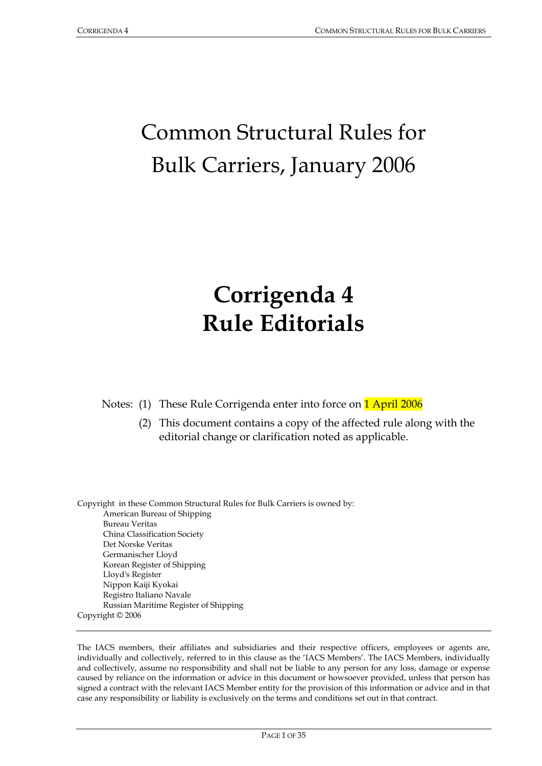# Common Structural Rules for Bulk Carriers, January 2006

# **Corrigenda 4 Rule Editorials**

Notes: (1) These Rule Corrigenda enter into force on **1 April 2006** 

 (2) This document contains a copy of the affected rule along with the editorial change or clarification noted as applicable.

Copyright in these Common Structural Rules for Bulk Carriers is owned by: American Bureau of Shipping Bureau Veritas China Classification Society Det Norske Veritas Germanischer Lloyd Korean Register of Shipping Lloyd's Register Nippon Kaiji Kyokai Registro Italiano Navale Russian Maritime Register of Shipping Copyright © 2006

The IACS members, their affiliates and subsidiaries and their respective officers, employees or agents are, individually and collectively, referred to in this clause as the 'IACS Members'. The IACS Members, individually and collectively, assume no responsibility and shall not be liable to any person for any loss, damage or expense caused by reliance on the information or advice in this document or howsoever provided, unless that person has signed a contract with the relevant IACS Member entity for the provision of this information or advice and in that case any responsibility or liability is exclusively on the terms and conditions set out in that contract.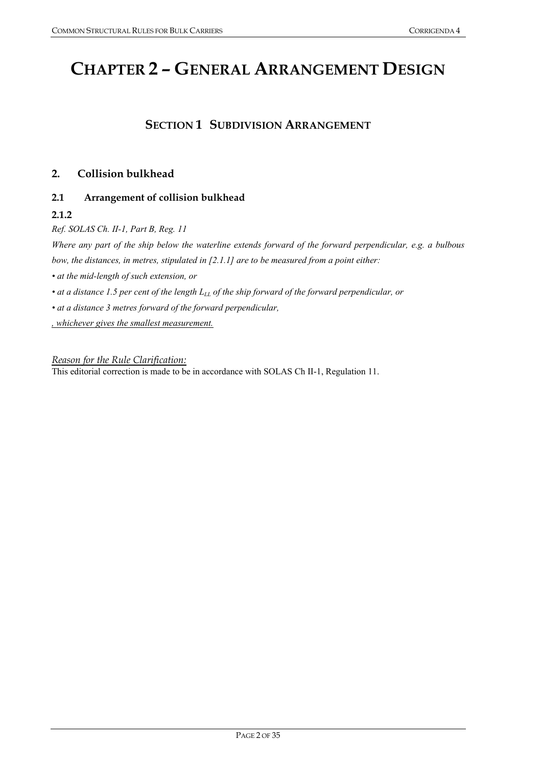## **CHAPTER 2 – GENERAL ARRANGEMENT DESIGN**

## **SECTION 1 SUBDIVISION ARRANGEMENT**

## **2. Collision bulkhead**

## **2.1 Arrangement of collision bulkhead**

## **2.1.2**

*Ref. SOLAS Ch. II-1, Part B, Reg. 11 Where any part of the ship below the waterline extends forward of the forward perpendicular, e.g. a bulbous bow, the distances, in metres, stipulated in [2.1.1] are to be measured from a point either: • at the mid-length of such extension, or*  • at a distance 1.5 per cent of the length  $L_{LL}$  of the ship forward of the forward perpendicular, or *• at a distance 3 metres forward of the forward perpendicular, , whichever gives the smallest measurement.*

*Reason for the Rule Clarification:* This editorial correction is made to be in accordance with SOLAS Ch II-1, Regulation 11.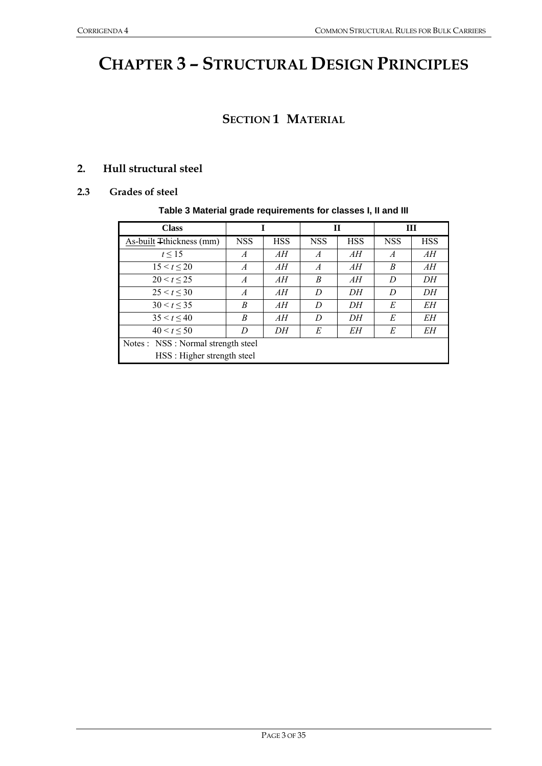## **CHAPTER 3 – STRUCTURAL DESIGN PRINCIPLES**

## **SECTION 1 MATERIAL**

## **2. Hull structural steel**

#### **2.3 Grades of steel**

#### **Table 3 Material grade requirements for classes I, II and III**

| <b>Class</b>                        |                | $\mathbf H$<br>Ш |                |            |                |            |  |  |
|-------------------------------------|----------------|------------------|----------------|------------|----------------|------------|--|--|
| As-built Thickness (mm)             | <b>NSS</b>     | <b>HSS</b>       | <b>NSS</b>     | <b>HSS</b> | <b>NSS</b>     | <b>HSS</b> |  |  |
| $t \leq 15$                         | $\overline{A}$ | AH               | $\overline{A}$ | AH         | $\overline{A}$ | AH         |  |  |
| 15 < t < 20                         | $\overline{A}$ | AH               | $\overline{A}$ | AH         | B              | AH         |  |  |
| 20 < t < 25                         | $\overline{A}$ | AH               | B              | AH         | D              | DН         |  |  |
| $25 < t \leq 30$                    | $\overline{A}$ | AH               | D              | DH         | D              | DН         |  |  |
| $30 < t \leq 35$                    | B              | AH               | D              | DН         | E              | EН         |  |  |
| 35 < t < 40                         | B              | AH               | D              | DН         | E              | EН         |  |  |
| 40 < t < 50                         | D              | DH               | E              | EН         | E              | EН         |  |  |
| Notes : NSS : Normal strength steel |                |                  |                |            |                |            |  |  |
| HSS: Higher strength steel          |                |                  |                |            |                |            |  |  |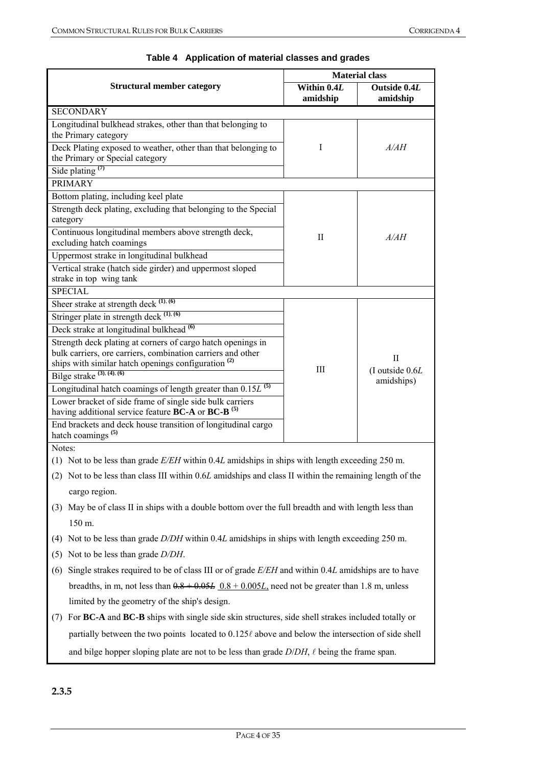|                                                                                                                                                                  |                         | <b>Material class</b>              |  |  |  |
|------------------------------------------------------------------------------------------------------------------------------------------------------------------|-------------------------|------------------------------------|--|--|--|
| <b>Structural member category</b>                                                                                                                                | Within 0.4L<br>amidship | Outside 0.4L<br>amidship           |  |  |  |
| <b>SECONDARY</b>                                                                                                                                                 |                         |                                    |  |  |  |
| Longitudinal bulkhead strakes, other than that belonging to<br>the Primary category                                                                              |                         |                                    |  |  |  |
| Deck Plating exposed to weather, other than that belonging to<br>the Primary or Special category                                                                 | I                       | A/AH                               |  |  |  |
| Side plating $(7)$                                                                                                                                               |                         |                                    |  |  |  |
| <b>PRIMARY</b>                                                                                                                                                   |                         |                                    |  |  |  |
| Bottom plating, including keel plate                                                                                                                             |                         |                                    |  |  |  |
| Strength deck plating, excluding that belonging to the Special<br>category                                                                                       |                         |                                    |  |  |  |
| Continuous longitudinal members above strength deck,<br>excluding hatch coamings                                                                                 | П                       | A/AH                               |  |  |  |
| Uppermost strake in longitudinal bulkhead                                                                                                                        |                         |                                    |  |  |  |
| Vertical strake (hatch side girder) and uppermost sloped<br>strake in top wing tank                                                                              |                         |                                    |  |  |  |
| <b>SPECIAL</b>                                                                                                                                                   |                         |                                    |  |  |  |
| Sheer strake at strength deck (1), (6)                                                                                                                           |                         |                                    |  |  |  |
| Stringer plate in strength deck (1), (6)                                                                                                                         |                         |                                    |  |  |  |
| Deck strake at longitudinal bulkhead <sup>(6)</sup>                                                                                                              |                         | П<br>(I outside 0.6L<br>amidships) |  |  |  |
| Strength deck plating at corners of cargo hatch openings in<br>bulk carriers, ore carriers, combination carriers and other                                       |                         |                                    |  |  |  |
| ships with similar hatch openings configuration <sup>(2)</sup>                                                                                                   |                         |                                    |  |  |  |
| Bilge strake $(3)$ , $(4)$ , $(6)$                                                                                                                               | III                     |                                    |  |  |  |
| Longitudinal hatch coamings of length greater than $0.15L^{(5)}$                                                                                                 |                         |                                    |  |  |  |
| Lower bracket of side frame of single side bulk carriers<br>having additional service feature <b>BC-A</b> or <b>BC-B</b> <sup>(5)</sup>                          |                         |                                    |  |  |  |
| End brackets and deck house transition of longitudinal cargo<br>hatch coamings $(5)$                                                                             |                         |                                    |  |  |  |
| Notes:                                                                                                                                                           |                         |                                    |  |  |  |
| (1) Not to be less than grade $E/EH$ within 0.4L amidships in ships with length exceeding 250 m.                                                                 |                         |                                    |  |  |  |
| (2) Not to be less than class III within 0.6L amidships and class II within the remaining length of the                                                          |                         |                                    |  |  |  |
| cargo region.                                                                                                                                                    |                         |                                    |  |  |  |
| (3) May be of class II in ships with a double bottom over the full breadth and with length less than                                                             |                         |                                    |  |  |  |
| 150 m.                                                                                                                                                           |                         |                                    |  |  |  |
| Not to be less than grade D/DH within 0.4L amidships in ships with length exceeding 250 m.<br>(4)                                                                |                         |                                    |  |  |  |
| Not to be less than grade $D/DH$ .<br>(5)                                                                                                                        |                         |                                    |  |  |  |
| Single strakes required to be of class III or of grade E/EH and within 0.4L amidships are to have<br>(6)                                                         |                         |                                    |  |  |  |
| breadths, in m, not less than $0.8 + 0.05L$ $0.8 + 0.005L$ , need not be greater than 1.8 m, unless                                                              |                         |                                    |  |  |  |
| limited by the geometry of the ship's design.                                                                                                                    |                         |                                    |  |  |  |
| (7) For $\mathbf{R}\mathbf{C}_r\mathbf{A}$ and $\mathbf{R}\mathbf{C}_r\mathbf{R}$ ships with single side skip structures, side shell strakes included totally or |                         |                                    |  |  |  |

## **Table 4 Application of material classes and grades**

(7) For **BC-A** and **BC-B** ships with single side skin structures, side shell strakes included totally or partially between the two points located to  $0.125\ell$  above and below the intersection of side shell and bilge hopper sloping plate are not to be less than grade  $D/DH$ ,  $\ell$  being the frame span.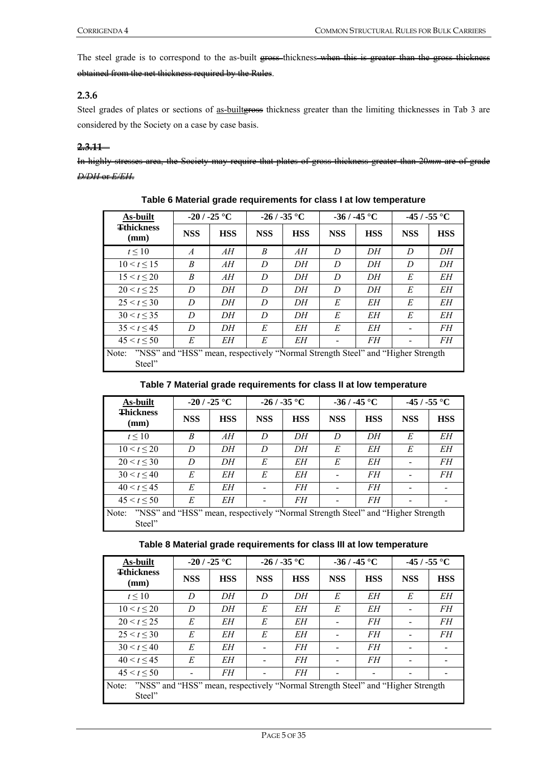The steel grade is to correspond to the as-built gross-thickness-when this is greater than the gross thickness obtained from the net thickness required by the Rules.

## **2.3.6**

Steel grades of plates or sections of as-builteness thickness greater than the limiting thicknesses in Tab 3 are considered by the Society on a case by case basis.

#### **2.3.11**

In highly stresses area, the Society may require that plates of gross thickness greater than 20*mm* are of grade

*D/DH* or *E/EH*.

| As-built                                                                                           |                | $-20/ -25$ °C |            | $-26/ -35$ °C |            | $-36/ -45$ °C |            | -45 / -55 $^{\circ}$ C |
|----------------------------------------------------------------------------------------------------|----------------|---------------|------------|---------------|------------|---------------|------------|------------------------|
| <b>Tthickness</b><br>(mm)                                                                          | <b>NSS</b>     | <b>HSS</b>    | <b>NSS</b> | <b>HSS</b>    | <b>NSS</b> | <b>HSS</b>    | <b>NSS</b> | <b>HSS</b>             |
| t < 10                                                                                             | $\overline{A}$ | AH            | B          | AH            | D          | DH            | D          | DН                     |
| 10 < t < 15                                                                                        | B              | AH            | D          | DH            | D          | DH            | D          | DH                     |
| 15 < t < 20                                                                                        | B              | AН            | D          | DH            | D          | DH            | E          | EН                     |
| 20 < t < 25                                                                                        | D              | DH            | D          | DH            | D          | DH            | E          | EН                     |
| 25 < t < 30                                                                                        | D              | DH            | D          | DH            | E          | EН            | E          | EН                     |
| 30 < t < 35                                                                                        | D              | DH            | D          | DH            | E          | EН            | E          | EН                     |
| 35 < t < 45                                                                                        | D              | DH            | E          | EН            | E          | EН            |            | FH                     |
| 45 < t < 50                                                                                        | E              | EН            | E          | EН            |            | FH            |            | FH                     |
| "NSS" and "HSS" mean, respectively "Normal Strength Steel" and "Higher Strength<br>Note:<br>Steel" |                |               |            |               |            |               |            |                        |

|  |  | Table 6 Material grade requirements for class I at low temperature |
|--|--|--------------------------------------------------------------------|
|  |  |                                                                    |

#### **Table 7 Material grade requirements for class II at low temperature**

| As-built                                                                                            |            | $-20/ -25$ °C |            | $-26/ -35$ °C |            | $-36/ -45$ °C |            | -45 / -55 $^{\circ}$ C |
|-----------------------------------------------------------------------------------------------------|------------|---------------|------------|---------------|------------|---------------|------------|------------------------|
| <b>Thickness</b><br>(mm)                                                                            | <b>NSS</b> | <b>HSS</b>    | <b>NSS</b> | <b>HSS</b>    | <b>NSS</b> | <b>HSS</b>    | <b>NSS</b> | <b>HSS</b>             |
| $t \le 10$                                                                                          | B          | AH            | D          | DН            | D          | DH            | E          | EН                     |
| 10 < t < 20                                                                                         | D          | DН            | D          | DН            | E          | EΗ            | E          | EΗ                     |
| 20 < t < 30                                                                                         | D          | DН            | E          | EН            | E          | EΗ            |            | FH                     |
| 30 < t < 40                                                                                         | E          | EН            | E          | EН            |            | FH            |            | FH                     |
| 40 < t < 45                                                                                         | E          | EΗ            |            | FH            |            | FH            |            |                        |
| 45 < t < 50                                                                                         | E          | EН            |            | FH            |            | FH            |            |                        |
| "NSS" and "HSS" mean, respectively "Normal Strength Steel" and "Higher Strength"<br>Note:<br>Steel" |            |               |            |               |            |               |            |                        |

#### **Table 8 Material grade requirements for class III at low temperature**

| As-built                                                                                           | $-20/ -25$ °C |            |            | $-26/ -35$ °C |            | $-36/ -45$ °C |            | -45 / -55 $^{\circ}$ C |  |
|----------------------------------------------------------------------------------------------------|---------------|------------|------------|---------------|------------|---------------|------------|------------------------|--|
| <b>Tthickness</b><br>(mm)                                                                          | <b>NSS</b>    | <b>HSS</b> | <b>NSS</b> | <b>HSS</b>    | <b>NSS</b> | <b>HSS</b>    | <b>NSS</b> | <b>HSS</b>             |  |
| t < 10                                                                                             | D             | DН         | D          | DН            | E          | EН            | E          | EН                     |  |
| 10 < t < 20                                                                                        | D             | DH         | E          | EН            | E          | EΗ            |            | FH                     |  |
| 20 < t < 25                                                                                        | E             | EН         | E          | EН            |            | FH            |            | FH                     |  |
| 25 < t < 30                                                                                        | E             | EН         | E          | EН            |            | FH            |            | FH                     |  |
| 30 < t < 40                                                                                        | E             | EН         |            | FH            |            | FH            |            |                        |  |
| 40 < t < 45                                                                                        | E             | EН         |            | FH            |            | FH            |            |                        |  |
| 45 < t < 50                                                                                        |               | FH         |            | FH            |            |               |            |                        |  |
| "NSS" and "HSS" mean, respectively "Normal Strength Steel" and "Higher Strength<br>Note:<br>Steel" |               |            |            |               |            |               |            |                        |  |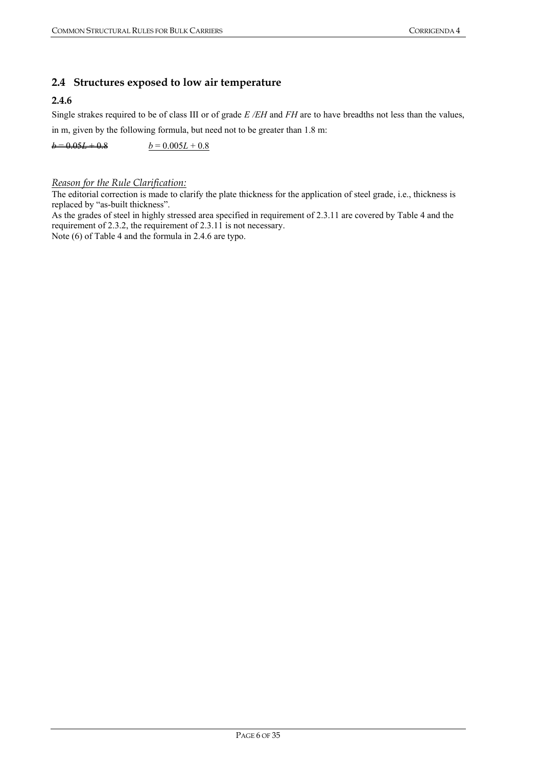## **2.4 Structures exposed to low air temperature**

## **2.4.6**

Single strakes required to be of class III or of grade *E /EH* and *FH* are to have breadths not less than the values, in m, given by the following formula, but need not to be greater than 1.8 m:

 $b = 0.05L + 0.8$   $b = 0.005L + 0.8$ 

#### *Reason for the Rule Clarification:*

The editorial correction is made to clarify the plate thickness for the application of steel grade, i.e., thickness is replaced by "as-built thickness".

As the grades of steel in highly stressed area specified in requirement of 2.3.11 are covered by Table 4 and the requirement of 2.3.2, the requirement of 2.3.11 is not necessary.

Note (6) of Table 4 and the formula in 2.4.6 are typo.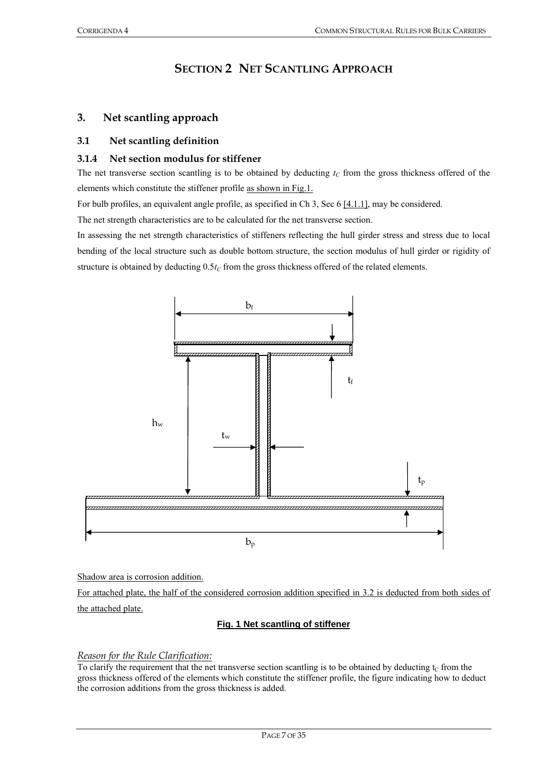## **SECTION 2 NET SCANTLING APPROACH**

## **3. Net scantling approach**

## **3.1 Net scantling definition**

#### **3.1.4 Net section modulus for stiffener**

The net transverse section scantling is to be obtained by deducting  $t<sub>C</sub>$  from the gross thickness offered of the elements which constitute the stiffener profile as shown in Fig.1.

For bulb profiles, an equivalent angle profile, as specified in Ch 3, Sec 6 [4.1.1], may be considered.

The net strength characteristics are to be calculated for the net transverse section.

In assessing the net strength characteristics of stiffeners reflecting the hull girder stress and stress due to local bending of the local structure such as double bottom structure, the section modulus of hull girder or rigidity of structure is obtained by deducting  $0.5t_C$  from the gross thickness offered of the related elements.



Shadow area is corrosion addition.

For attached plate, the half of the considered corrosion addition specified in 3.2 is deducted from both sides of the attached plate.

#### **Fig. 1 Net scantling of stiffener**

#### *Reason for the Rule Clarification:*

To clarify the requirement that the net transverse section scantling is to be obtained by deducting  $t_c$  from the gross thickness offered of the elements which constitute the stiffener profile, the figure indicating how to deduct the corrosion additions from the gross thickness is added.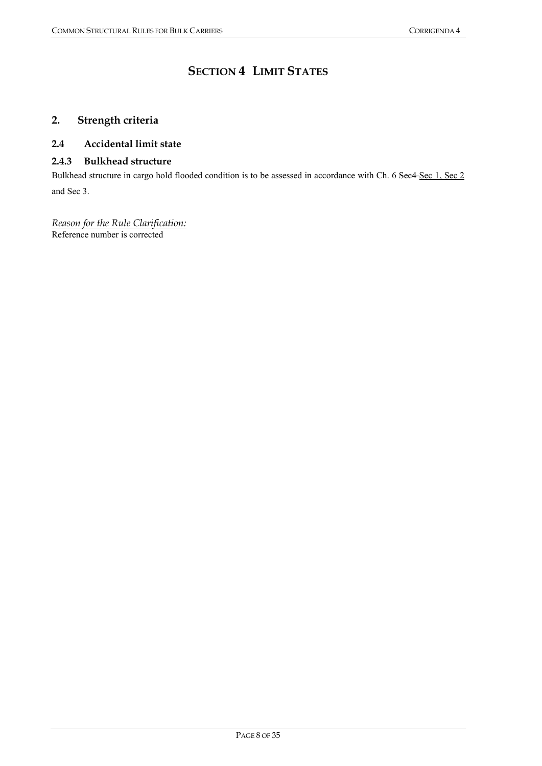## **SECTION 4 LIMIT STATES**

## **2. Strength criteria**

### **2.4 Accidental limit state**

#### **2.4.3 Bulkhead structure**

Bulkhead structure in cargo hold flooded condition is to be assessed in accordance with Ch. 6 See4-Sec 1, Sec 2 and Sec 3.

*Reason for the Rule Clarification:* Reference number is corrected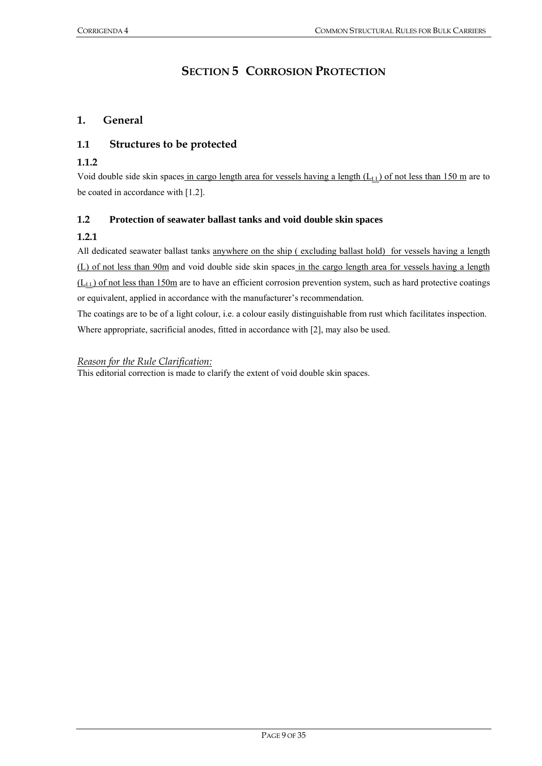## **SECTION 5 CORROSION PROTECTION**

## **1. General**

## **1.1 Structures to be protected**

### **1.1.2**

Void double side skin spaces in cargo length area for vessels having a length  $(L<sub>LL</sub>)$  of not less than 150 m are to be coated in accordance with [1.2].

### **1.2 Protection of seawater ballast tanks and void double skin spaces**

## **1.2.1**

All dedicated seawater ballast tanks anywhere on the ship (excluding ballast hold) for vessels having a length (L) of not less than 90m and void double side skin spaces in the cargo length area for vessels having a length  $(L<sub>LL</sub>)$  of not less than 150m are to have an efficient corrosion prevention system, such as hard protective coatings or equivalent, applied in accordance with the manufacturer's recommendation.

The coatings are to be of a light colour, i.e. a colour easily distinguishable from rust which facilitates inspection. Where appropriate, sacrificial anodes, fitted in accordance with [2], may also be used.

#### *Reason for the Rule Clarification:*

This editorial correction is made to clarify the extent of void double skin spaces.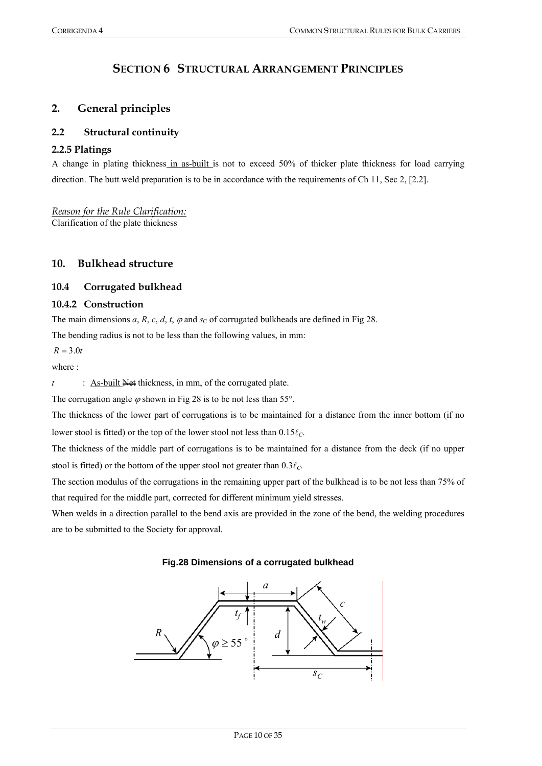## **SECTION 6 STRUCTURAL ARRANGEMENT PRINCIPLES**

## **2. General principles**

## **2.2 Structural continuity**

## **2.2.5 Platings**

A change in plating thickness in as-built is not to exceed 50% of thicker plate thickness for load carrying direction. The butt weld preparation is to be in accordance with the requirements of Ch 11, Sec 2, [2.2].

*Reason for the Rule Clarification:* Clarification of the plate thickness

## **10. Bulkhead structure**

### **10.4 Corrugated bulkhead**

#### **10.4.2 Construction**

The main dimensions *a*, *R*, *c*, *d*, *t*,  $\varphi$  and *s*<sub>C</sub> of corrugated bulkheads are defined in Fig 28.

The bending radius is not to be less than the following values, in mm:

 $R = 3.0t$ 

where :

*t* : <u>As-built</u> Net thickness, in mm, of the corrugated plate.

The corrugation angle  $\varphi$  shown in Fig 28 is to be not less than 55°.

The thickness of the lower part of corrugations is to be maintained for a distance from the inner bottom (if no lower stool is fitted) or the top of the lower stool not less than  $0.15\ell<sub>C</sub>$ .

The thickness of the middle part of corrugations is to be maintained for a distance from the deck (if no upper stool is fitted) or the bottom of the upper stool not greater than  $0.3\ell_C$ .

The section modulus of the corrugations in the remaining upper part of the bulkhead is to be not less than 75% of that required for the middle part, corrected for different minimum yield stresses.

When welds in a direction parallel to the bend axis are provided in the zone of the bend, the welding procedures are to be submitted to the Society for approval.

#### **Fig.28 Dimensions of a corrugated bulkhead**

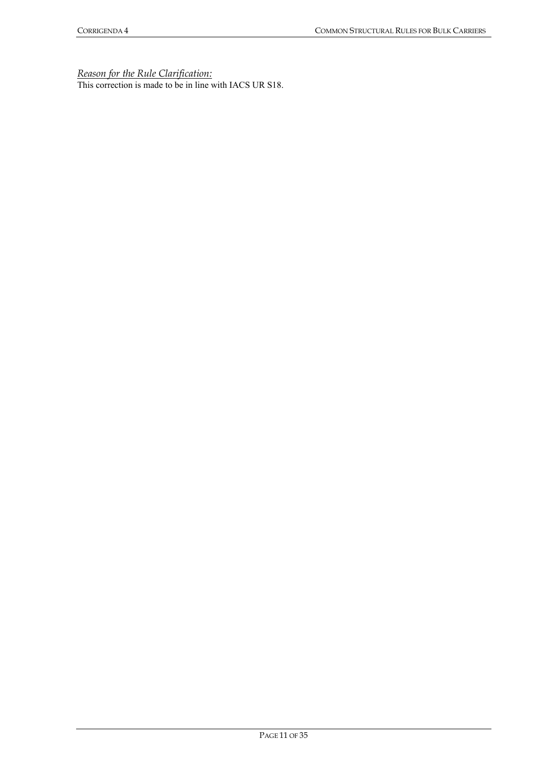*Reason for the Rule Clarification:*

This correction is made to be in line with IACS UR S18.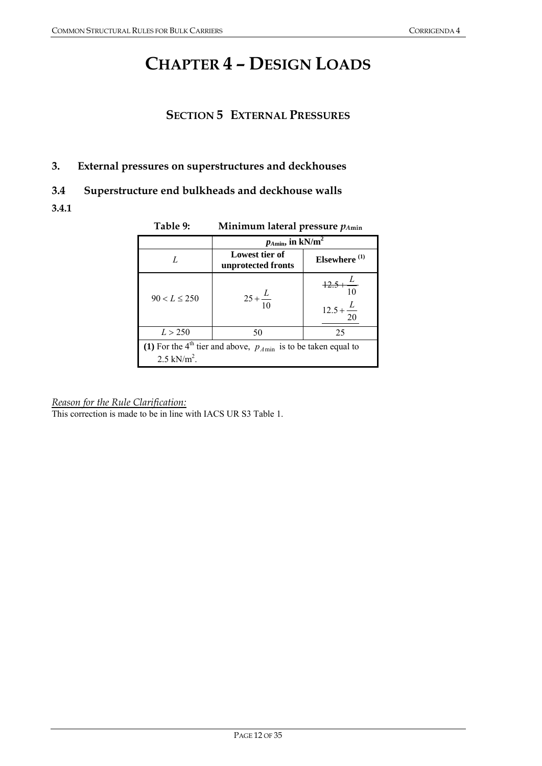## **CHAPTER 4 – DESIGN LOADS**

## **SECTION 5 EXTERNAL PRESSURES**

## **3. External pressures on superstructures and deckhouses**

## **3.4 Superstructure end bulkheads and deckhouse walls**

**3.4.1** 

| Table 9:                                                                                                    | Minimum lateral pressure $p_{Amin}$                              |                                                           |  |  |  |  |  |
|-------------------------------------------------------------------------------------------------------------|------------------------------------------------------------------|-----------------------------------------------------------|--|--|--|--|--|
|                                                                                                             | $p_{A\text{min}}$ , in kN/m <sup>2</sup>                         |                                                           |  |  |  |  |  |
| L                                                                                                           | Lowest tier of<br>Elsewhere <sup>(1)</sup><br>unprotected fronts |                                                           |  |  |  |  |  |
| $90 < L \leq 250$                                                                                           | $25 + \frac{L}{10}$                                              | $\frac{12.5 + \frac{L}{10}}{10}$<br>$12.5 + \frac{L}{20}$ |  |  |  |  |  |
| L > 250                                                                                                     | 50                                                               | 25                                                        |  |  |  |  |  |
| (1) For the 4 <sup>th</sup> tier and above, $p_{Amin}$ is to be taken equal to<br>$2.5$ kN/m <sup>2</sup> . |                                                                  |                                                           |  |  |  |  |  |

## **Table 9: Minimum lateral pressure** *pA***min**

*Reason for the Rule Clarification:*

This correction is made to be in line with IACS UR S3 Table 1.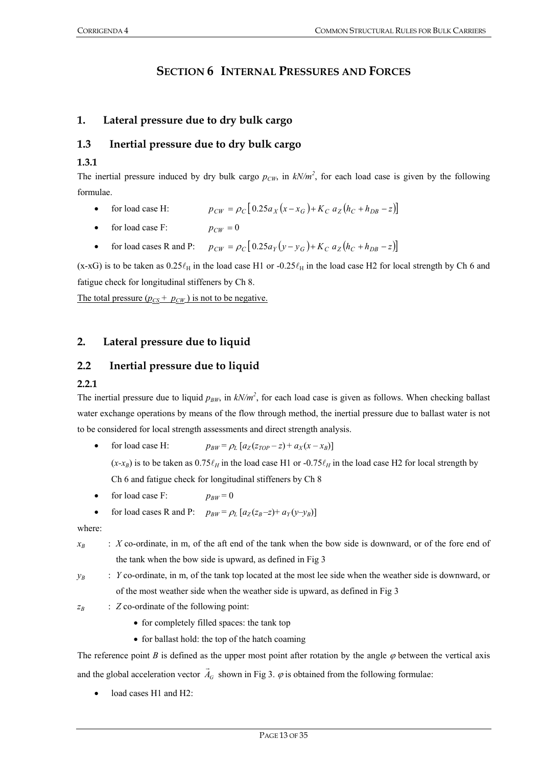## **SECTION 6 INTERNAL PRESSURES AND FORCES**

## **1. Lateral pressure due to dry bulk cargo**

## **1.3 Inertial pressure due to dry bulk cargo**

#### **1.3.1**

The inertial pressure induced by dry bulk cargo  $p_{CW}$ , in  $kN/m^2$ , for each load case is given by the following formulae.

- $p_{CW} = \rho_C [0.25a_x(x x_G) + K_C a_z(h_C + h_{DR} z)]$
- for load case F:  $p_{CW} = 0$
- for load cases R and P:  $p_{CW} = \rho_C [0.25 a_Y (y y_G) + K_C a_Z (h_C + h_{DR} z)]$

(x-xG) is to be taken as  $0.25\ell_H$  in the load case H1 or -0.25 $\ell_H$  in the load case H2 for local strength by Ch 6 and fatigue check for longitudinal stiffeners by Ch 8.

The total pressure  $(p_{CS} + p_{CW})$  is not to be negative.

## **2. Lateral pressure due to liquid**

## **2.2 Inertial pressure due to liquid**

#### **2.2.1**

The inertial pressure due to liquid  $p_{BW}$ , in  $kN/m^2$ , for each load case is given as follows. When checking ballast water exchange operations by means of the flow through method, the inertial pressure due to ballast water is not to be considered for local strength assessments and direct strength analysis.

- for load case H:  $p_{BW} = \rho_L [a_Z (z_{TOP} z) + a_X (x x_B)]$  $(x-x_B)$  is to be taken as  $0.75\ell_H$  in the load case H1 or -0.75 $\ell_H$  in the load case H2 for local strength by Ch 6 and fatigue check for longitudinal stiffeners by Ch 8
- for load case F:  $p_{BW} = 0$
- for load cases R and P:  $p_{BW} = \rho_L [a_Z(z_B z) + a_Y(y y_B)]$

where:

- $x_B$  : *X* co-ordinate, in m, of the aft end of the tank when the bow side is downward, or of the fore end of the tank when the bow side is upward, as defined in Fig 3
- *y<sub>B</sub>* : *Y* co-ordinate, in m, of the tank top located at the most lee side when the weather side is downward, or of the most weather side when the weather side is upward, as defined in Fig 3

*z<sub>B</sub>* : *Z* co-ordinate of the following point:

- for completely filled spaces: the tank top
- for ballast hold: the top of the hatch coaming

The reference point *B* is defined as the upper most point after rotation by the angle  $\varphi$  between the vertical axis and the global acceleration vector  $\vec{A}_G$  shown in Fig 3.  $\varphi$  is obtained from the following formulae:

load cases H1 and H2: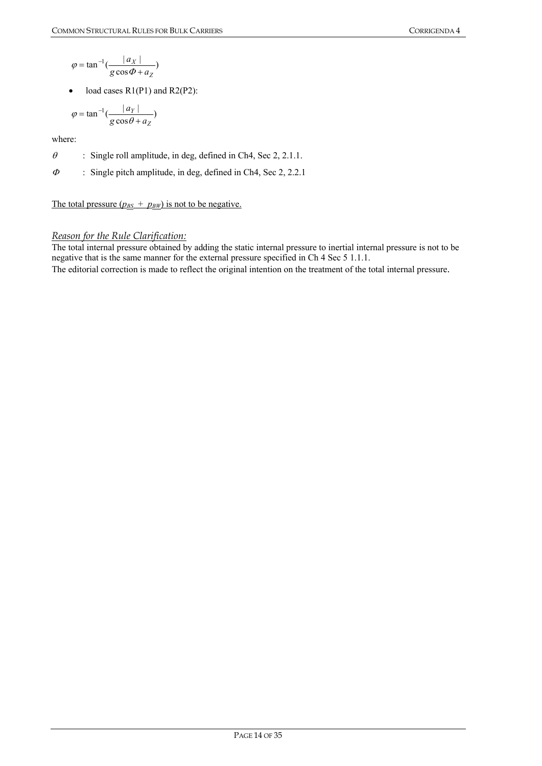$$
\varphi = \tan^{-1}\left(\frac{|a_X|}{g\cos\Phi + a_Z}\right)
$$

• load cases  $R1(P1)$  and  $R2(P2)$ :

$$
\varphi = \tan^{-1}\left(\frac{|a_Y|}{g\cos\theta + a_Z}\right)
$$

where:

- $\theta$  : Single roll amplitude, in deg, defined in Ch4, Sec 2, 2.1.1.
- <sup>Φ</sup> : Single pitch amplitude, in deg, defined in Ch4, Sec 2, 2.2.1

The total pressure  $(p_{BS} + p_{BW})$  is not to be negative.

## *Reason for the Rule Clarification:*

The total internal pressure obtained by adding the static internal pressure to inertial internal pressure is not to be negative that is the same manner for the external pressure specified in Ch 4 Sec 5 1.1.1. The editorial correction is made to reflect the original intention on the treatment of the total internal pressure.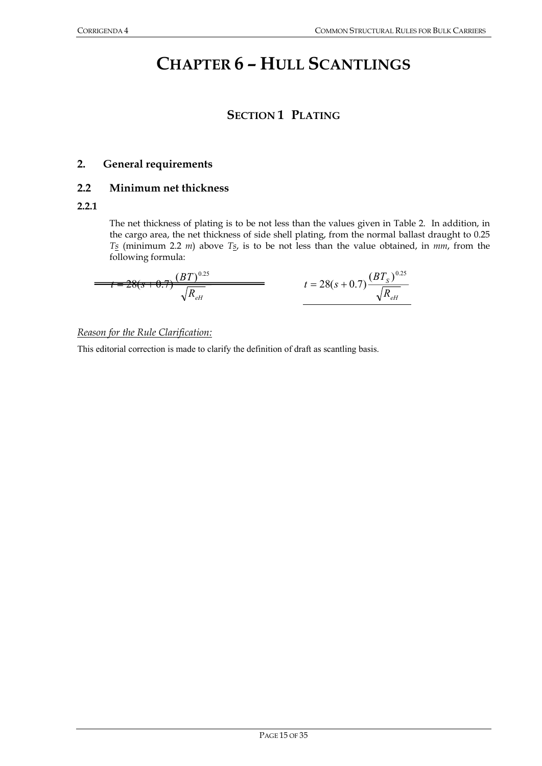## **CHAPTER 6 – HULL SCANTLINGS**

## **SECTION 1 PLATING**

## **2. General requirements**

## **2.2 Minimum net thickness**

### **2.2.1**

The net thickness of plating is to be not less than the values given in Table 2. In addition, in the cargo area, the net thickness of side shell plating, from the normal ballast draught to 0.25 *Ts* (minimum 2.2 *m*) above *Ts*, is to be not less than the value obtained, in *mm*, from the following formula:

$$
t = 28(s + 0.7) \frac{(BT)^{0.25}}{\sqrt{R_{eH}}} \qquad t = 28(s + 0.7) \frac{(BT_s)^{0.25}}{\sqrt{R_{eH}}}
$$

### *Reason for the Rule Clarification:*

This editorial correction is made to clarify the definition of draft as scantling basis.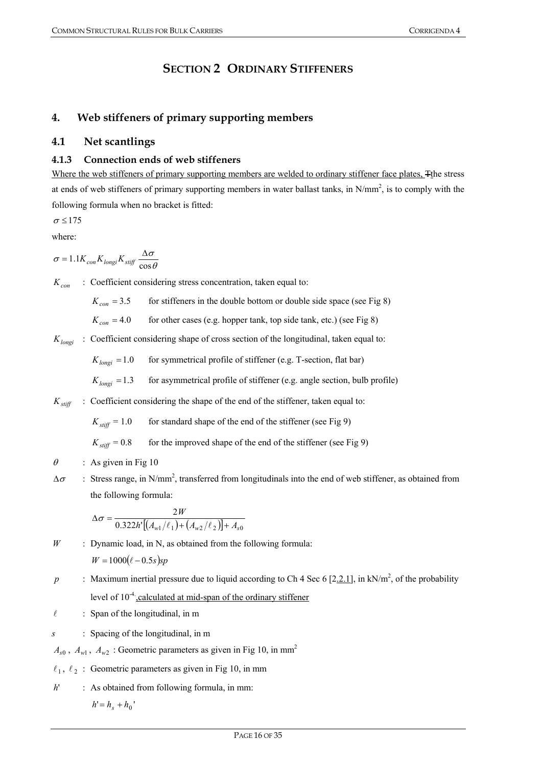## **SECTION 2 ORDINARY STIFFENERS**

## **4. Web stiffeners of primary supporting members**

## **4.1 Net scantlings**

## **4.1.3 Connection ends of web stiffeners**

Where the web stiffeners of primary supporting members are welded to ordinary stiffener face plates, Tthe stress at ends of web stiffeners of primary supporting members in water ballast tanks, in  $N/mm^2$ , is to comply with the following formula when no bracket is fitted:

$$
\sigma\!\leq\!175
$$

where:

$$
\sigma = 1.1 K_{con} K_{longi} K_{stiff} \frac{\Delta \sigma}{\cos \theta}
$$

 $K_{con}$  : Coefficient considering stress concentration, taken equal to:

 $K_{con}$  = 3.5 for stiffeners in the double bottom or double side space (see Fig 8)

 $K_{con} = 4.0$  for other cases (e.g. hopper tank, top side tank, etc.) (see Fig 8)

 $K_{longi}$ : Coefficient considering shape of cross section of the longitudinal, taken equal to:

 $K_{longi} = 1.0$  for symmetrical profile of stiffener (e.g. T-section, flat bar)

 $K_{longi} = 1.3$  for asymmetrical profile of stiffener (e.g. angle section, bulb profile)

 $K_{stiff}$  : Coefficient considering the shape of the end of the stiffener, taken equal to:

 $K_{\text{stiff}} = 1.0$  for standard shape of the end of the stiffener (see Fig 9)

 $K_{\text{stiff}} = 0.8$  for the improved shape of the end of the stiffener (see Fig 9)

- $\theta$  : As given in Fig 10
- $\Delta \sigma$  : Stress range, in N/mm<sup>2</sup>, transferred from longitudinals into the end of web stiffener, as obtained from the following formula:

$$
\Delta \sigma = \frac{2W}{0.322h'[(A_{w1}/\ell_1) + (A_{w2}/\ell_2)] + A_{s0}}
$$

- *W* : Dynamic load, in N, as obtained from the following formula:  $W = 1000(\ell - 0.5s)sp$
- *p* : Maximum inertial pressure due to liquid according to Ch 4 Sec 6 [2.2.1], in kN/m<sup>2</sup>, of the probability level of  $10^{-4}$ , calculated at mid-span of the ordinary stiffener
- $\ell$  : Span of the longitudinal, in m
- *s* : Spacing of the longitudinal, in m

 $A_{s0}$ ,  $A_{w1}$ ,  $A_{w2}$ : Geometric parameters as given in Fig 10, in mm<sup>2</sup>

- $\ell_1, \ell_2$ : Geometric parameters as given in Fig 10, in mm
- *h*' : As obtained from following formula, in mm:

 $h' = h_s + h_0'$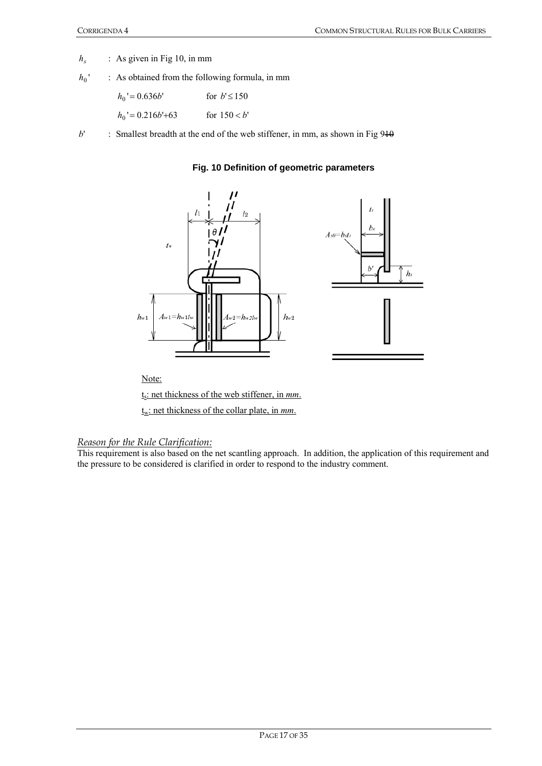- *h<sub>s</sub>* : As given in Fig 10, in mm
- $h_0$ : As obtained from the following formula, in mm

| $h_0' = 0.636b'$     | for $b' \le 150$ |
|----------------------|------------------|
| $h_0$ ' = 0.216b'+63 | for $150 < b'$   |

 $b'$  : Smallest breadth at the end of the web stiffener, in mm, as shown in Fig  $940$ 





Note:

ts: net thickness of the web stiffener, in *mm*.

tw: net thickness of the collar plate, in *mm*.

*Reason for the Rule Clarification:*

This requirement is also based on the net scantling approach. In addition, the application of this requirement and the pressure to be considered is clarified in order to respond to the industry comment.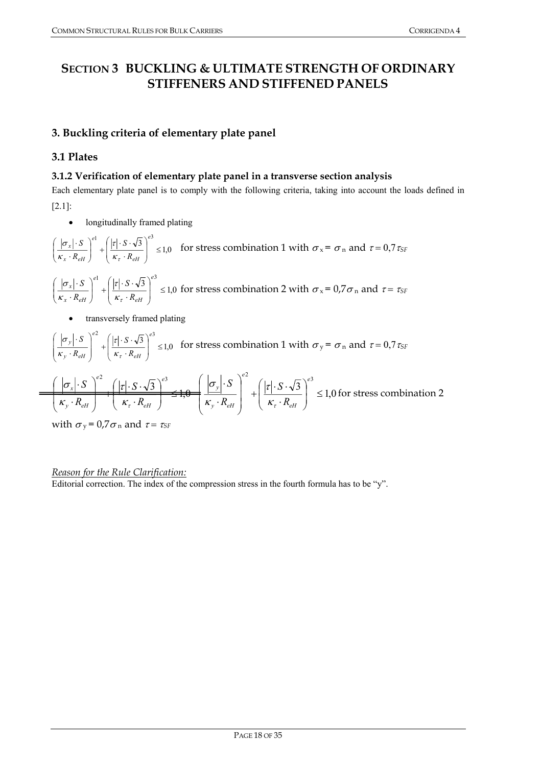## **SECTION 3 BUCKLING & ULTIMATE STRENGTH OF ORDINARY STIFFENERS AND STIFFENED PANELS**

## **3. Buckling criteria of elementary plate panel**

## **3.1 Plates**

## **3.1.2 Verification of elementary plate panel in a transverse section analysis**

Each elementary plate panel is to comply with the following criteria, taking into account the loads defined in [2.1]:

• longitudinally framed plating

$$
\left(\frac{|\sigma_x| \cdot S}{\kappa_x \cdot R_{\text{eff}}}\right)^{e_1} + \left(\frac{|\tau| \cdot S \cdot \sqrt{3}}{\kappa_{\tau} \cdot R_{\text{eff}}}\right)^{e_3} \le 1,0 \quad \text{for stress combination 1 with } \sigma_x = \sigma_n \text{ and } \tau = 0,7 \tau_{SF}
$$
\n
$$
\left(\frac{|\sigma_x| \cdot S}{\kappa_x \cdot R_{\text{eff}}}\right)^{e_1} + \left(\frac{|\tau| \cdot S \cdot \sqrt{3}}{\kappa_{\tau} \cdot R_{\text{eff}}}\right)^{e_3} \le 1,0 \text{ for stress combination 2 with } \sigma_x = 0,7 \sigma_n \text{ and } \tau = \tau_{SF}
$$

• transversely framed plating

$$
\left(\frac{|\sigma_y| \cdot S}{\kappa_y \cdot R_{\text{eff}}}\right)^{e^2} + \left(\frac{|\tau| \cdot S \cdot \sqrt{3}}{\kappa_{\tau} \cdot R_{\text{eff}}}\right)^{e^3} \le 1,0 \text{ for stress combination 1 with } \sigma_y = \sigma_n \text{ and } \tau = 0,7\tau_{SF}
$$
\n
$$
\left(\frac{|\sigma_x| \cdot S}{\kappa_y \cdot R_{\text{eff}}}\right)^{e^2} + \left(\frac{|\tau| \cdot S \cdot \sqrt{3}}{\kappa_{\tau} \cdot R_{\text{eff}}}\right)^{e^3} + \left(\frac{|\sigma_y| \cdot S}{\kappa_{\tau} \cdot R_{\text{eff}}}\right)^{e^3} \le 1,0 \text{ for stress combination 2}
$$

with  $\sigma_y = 0.7 \sigma_n$  and  $\tau = \tau_{SF}$ 

 $\equiv$ 

## *Reason for the Rule Clarification:*

Editorial correction. The index of the compression stress in the fourth formula has to be "y".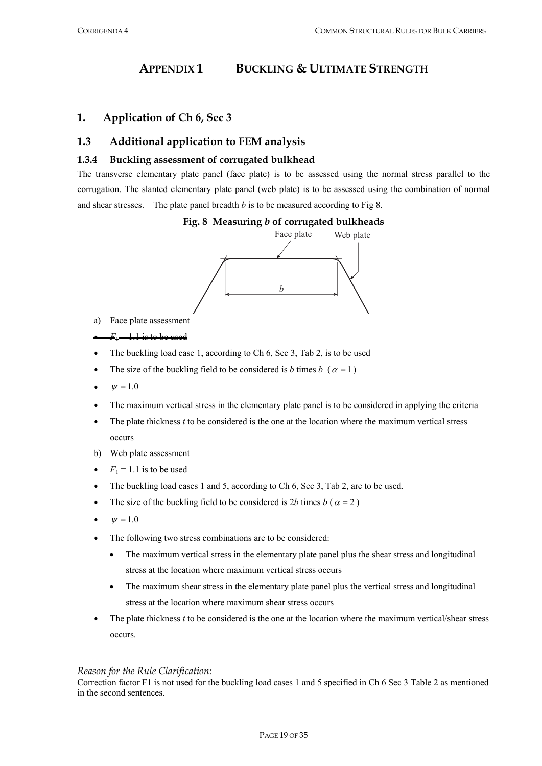## **APPENDIX 1 BUCKLING & ULTIMATE STRENGTH**

## **1. Application of Ch 6, Sec 3**

## **1.3 Additional application to FEM analysis**

#### **1.3.4 Buckling assessment of corrugated bulkhead**

The transverse elementary plate panel (face plate) is to be assessed using the normal stress parallel to the corrugation. The slanted elementary plate panel (web plate) is to be assessed using the combination of normal and shear stresses. The plate panel breadth *b* is to be measured according to Fig 8.

#### **Fig. 8 Measuring** *b* **of corrugated bulkheads**



a) Face plate assessment

#### $F_1 = 1.1$  is to be used

- The buckling load case 1, according to Ch 6, Sec 3, Tab 2, is to be used
- The size of the buckling field to be considered is *b* times  $b \ (\alpha = 1)$
- $w = 1.0$
- The maximum vertical stress in the elementary plate panel is to be considered in applying the criteria
- The plate thickness  $t$  to be considered is the one at the location where the maximum vertical stress occurs
- b) Web plate assessment

#### $F_1 = 1.1$  is to be used

- The buckling load cases 1 and 5, according to Ch 6, Sec 3, Tab 2, are to be used.
- The size of the buckling field to be considered is 2*b* times  $b(a = 2)$
- $W = 1.0$
- The following two stress combinations are to be considered:
	- The maximum vertical stress in the elementary plate panel plus the shear stress and longitudinal stress at the location where maximum vertical stress occurs
	- The maximum shear stress in the elementary plate panel plus the vertical stress and longitudinal stress at the location where maximum shear stress occurs
- The plate thickness *t* to be considered is the one at the location where the maximum vertical/shear stress occurs.

#### *Reason for the Rule Clarification:*

Correction factor F1 is not used for the buckling load cases 1 and 5 specified in Ch 6 Sec 3 Table 2 as mentioned in the second sentences.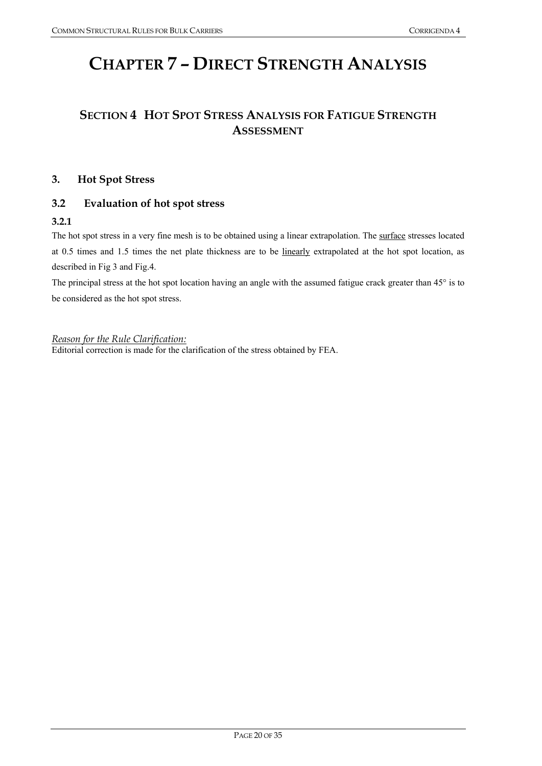## **CHAPTER 7 – DIRECT STRENGTH ANALYSIS**

## **SECTION 4 HOT SPOT STRESS ANALYSIS FOR FATIGUE STRENGTH ASSESSMENT**

## **3. Hot Spot Stress**

## **3.2 Evaluation of hot spot stress**

#### **3.2.1**

The hot spot stress in a very fine mesh is to be obtained using a linear extrapolation. The surface stresses located at 0.5 times and 1.5 times the net plate thickness are to be linearly extrapolated at the hot spot location, as described in Fig 3 and Fig.4.

The principal stress at the hot spot location having an angle with the assumed fatigue crack greater than 45° is to be considered as the hot spot stress.

*Reason for the Rule Clarification:*

Editorial correction is made for the clarification of the stress obtained by FEA.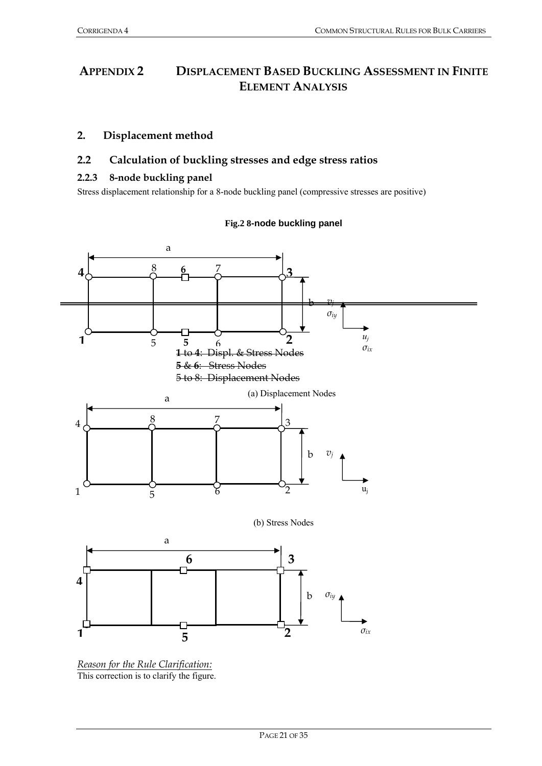## **APPENDIX 2 DISPLACEMENT BASED BUCKLING ASSESSMENT IN FINITE ELEMENT ANALYSIS**

## **2. Displacement method**

## **2.2 Calculation of buckling stresses and edge stress ratios**

## **2.2.3 8-node buckling panel**

Stress displacement relationship for a 8-node buckling panel (compressive stresses are positive)

#### **Fig.2 8-node buckling panel**



*Reason for the Rule Clarification:* This correction is to clarify the figure.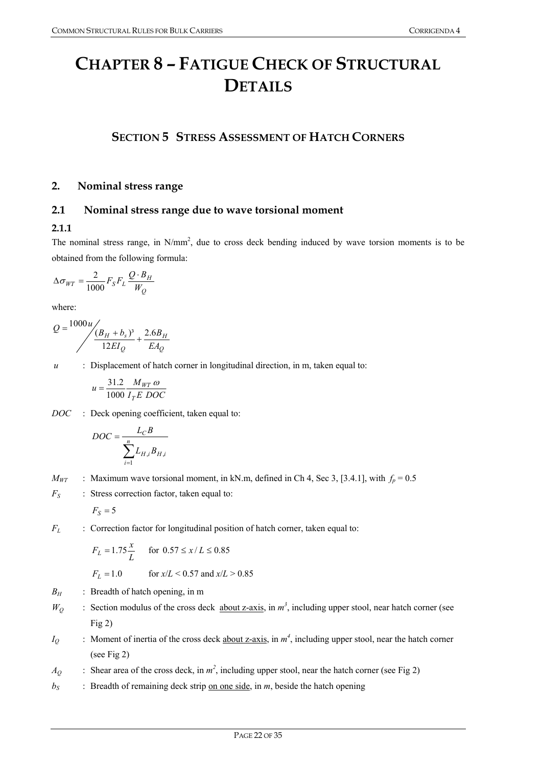## **CHAPTER 8 – FATIGUE CHECK OF STRUCTURAL DETAILS**

## **SECTION 5 STRESS ASSESSMENT OF HATCH CORNERS**

## **2. Nominal stress range**

## **2.1 Nominal stress range due to wave torsional moment**

## **2.1.1**

The nominal stress range, in  $N/mm^2$ , due to cross deck bending induced by wave torsion moments is to be obtained from the following formula:

$$
\Delta \sigma_{WT} = \frac{2}{1000} F_S F_L \frac{Q \cdot B_H}{W_Q}
$$

where:

$$
Q = \frac{1000u}{\left(\frac{B_H + b_s}{12EI_Q} + \frac{2.6B_H}{EA_Q}\right)}
$$

*u* : Displacement of hatch corner in longitudinal direction, in m, taken equal to:

$$
u = \frac{31.2}{1000} \frac{M_{WT} \omega}{I_T E \ DOC}
$$

*DOC* : Deck opening coefficient, taken equal to:

$$
DOC = \frac{L_C B}{\sum_{i=1}^{n} L_{H,i} B_{H,i}}
$$

 $M_{WT}$  : Maximum wave torsional moment, in kN.m, defined in Ch 4, Sec 3, [3.4.1], with  $f_p = 0.5$ 

*F<sub>S</sub>* : Stress correction factor, taken equal to:

$$
F_S=5
$$

*F<sub>L</sub>* : Correction factor for longitudinal position of hatch corner, taken equal to:

$$
F_L = 1.75 \frac{x}{L}
$$
 for  $0.57 \le x/L \le 0.85$   
 $F_L = 1.0$  for  $x/L < 0.57$  and  $x/L > 0.85$ 

- *B<sub>H</sub>* : Breadth of hatch opening, in m
- $W_Q$  : Section modulus of the cross deck about z-axis, in  $m^3$ , including upper stool, near hatch corner (see Fig 2)
- *I<sub>Q</sub>* : Moment of inertia of the cross deck <u>about z-axis</u>, in  $m^4$ , including upper stool, near the hatch corner (see Fig 2)
- $A_Q$  : Shear area of the cross deck, in  $m^2$ , including upper stool, near the hatch corner (see Fig 2)
- $b_S$  : Breadth of remaining deck strip on one side, in *m*, beside the hatch opening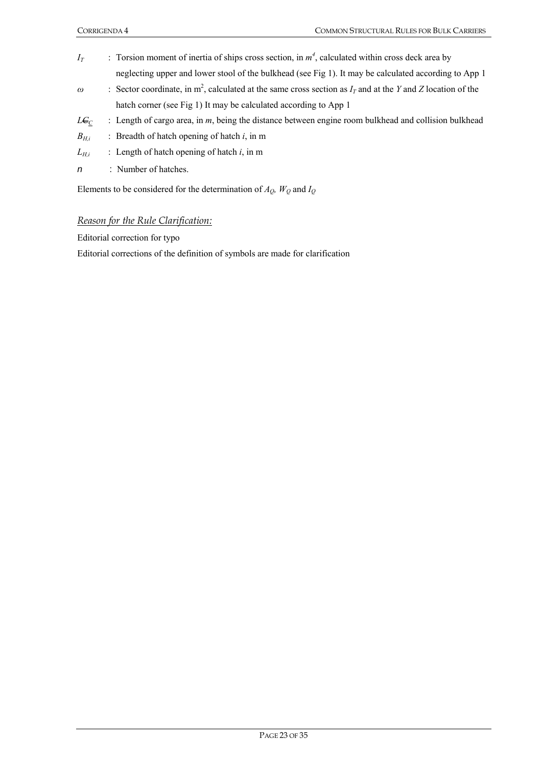- *I<sub>T</sub>* : Torsion moment of inertia of ships cross section, in  $m^4$ , calculated within cross deck area by neglecting upper and lower stool of the bulkhead (see Fig 1). It may be calculated according to App 1
- $\omega$  : Sector coordinate, in m<sup>2</sup>, calculated at the same cross section as  $I_T$  and at the *Y* and *Z* location of the hatch corner (see Fig 1) It may be calculated according to App 1
- $L\mathbf{C}_\text{C}$  : Length of cargo area, in *m*, being the distance between engine room bulkhead and collision bulkhead
- *BH,i* : Breadth of hatch opening of hatch *i*, in m
- *LH,i* : Length of hatch opening of hatch *i*, in m
- *n* : Number of hatches.

Elements to be considered for the determination of *AQ, WQ* and *IQ*

#### *Reason for the Rule Clarification:*

Editorial correction for typo

Editorial corrections of the definition of symbols are made for clarification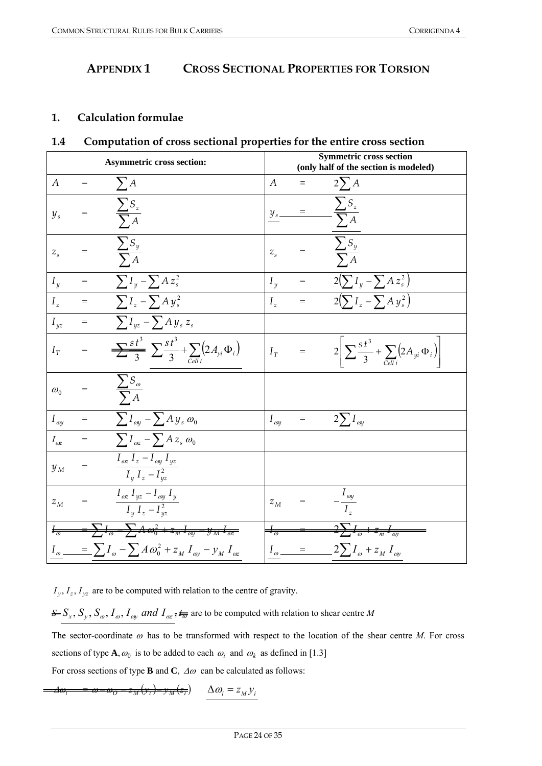## **APPENDIX 1 CROSS SECTIONAL PROPERTIES FOR TORSION**

## **1. Calculation formulae**

## **1.4 Computation of cross sectional properties for the entire cross section**

|                      |                   | <b>Asymmetric cross section:</b>                                                                          |                           |     | <b>Symmetric cross section</b><br>(only half of the section is modeled)                         |
|----------------------|-------------------|-----------------------------------------------------------------------------------------------------------|---------------------------|-----|-------------------------------------------------------------------------------------------------|
| $\boldsymbol{A}$     | $=$               | $\sum A$                                                                                                  | $\boldsymbol{A}$          | $=$ | $2\sum A$                                                                                       |
| $y_{s}$              | $=$               | $\frac{\sum S_z}{\sum A}$                                                                                 |                           | $=$ | $\frac{\sum S_z}{\sum A}$                                                                       |
| $Z_{\rm s}$          | $=$               | $\frac{\sum S_y}{\sum A}$                                                                                 | $Z_{\rm s}$               |     | $\frac{\sum S_y}{\sum A}$                                                                       |
| $I_{\nu}$            | $=$               | $\sum I_y - \sum A z_s^2$                                                                                 | $I_u$                     |     | = $2(\sum I_y - \sum A z_s^2)$                                                                  |
| $I_{\tau}$           | $\qquad \qquad =$ | $\sum I_z - \sum A y_s^2$                                                                                 | $I_z$                     |     | = $2(\sum I_z - \sum A y_s^2)$                                                                  |
| $I_{yz}$             | $=$               | $\sum I_{yz} - \sum A y_s z_s$                                                                            |                           |     |                                                                                                 |
| $I_{\tau}$           | $=$               | $\sum_{i=1}^{5} \sum_{i=1}^{3} \sum_{j=1}^{3} + \sum_{i=1}^{5} (2A_{yi} \Phi_i)$                          | $I_{\tau}$                | $=$ | $2\left \sum_{i=3}^{s} \frac{t^3}{3} + \sum_{i \text{ odd}} \left(2A_{yi} \Phi_i\right)\right $ |
| $\omega_0$           |                   | $\frac{\sum S_{\omega}}{\sum A}$                                                                          |                           |     |                                                                                                 |
| $I_{\omega}$         | $=$               | $\sum I_{\omega y} - \sum A y_s \omega_0$                                                                 | $I_{\mathit{oy}}$         | $=$ | $2\sum I_{\omega y}$                                                                            |
| $I_{\omega z}$       | $=$               | $\sum I_{\omega z} - \sum A z_s \omega_0$                                                                 |                           |     |                                                                                                 |
| $y_{M}$              | $=$               | $I_{\omega z} I_z - I_{\omega y} I_{yz}$<br>$I_y I_z - I_{yz}^2$                                          |                           |     |                                                                                                 |
| $z_{M}$              | $=$               | $I_{\mathit{ox}}$ $I_{\mathit{yz}}$ $ I_{\mathit{oy}}$ $I_{\mathit{y}}$<br>$\frac{1}{I_y I_z - I_{yz}^2}$ | $z_{M}$                   | $=$ | $-\frac{I_{\omega y}}{I_z}$                                                                     |
| $\frac{1}{\sqrt{2}}$ |                   | $=\sum I_{\omega} - \sum A \omega_0^2 + z_m I_{\omega y} - y_m I_{\omega z}$                              | $\pm_{\overline{\omega}}$ |     | $\frac{2\sum I_{\omega}+z_m I_{\omega}}{2\pi}$                                                  |
|                      |                   | $I_{\omega}$ = $\sum I_{\omega} - \sum A \omega_0^2 + z_M I_{\omega} - y_M I_{\omega}$                    |                           |     | $I_{\omega}$ = $2\sum I_{\omega} + z_M I_{\omega}$                                              |

 $I_y$ ,  $I_z$ ,  $I_{yz}$  are to be computed with relation to the centre of gravity.

 $S = S_x$ ,  $S_y$ ,  $S_\omega$ ,  $I_\omega$ ,  $I_{\omega y}$  and  $I_{\omega z}$ ,  $I_{\overline{\omega}}$  are to be computed with relation to shear centre *M* 

The sector-coordinate  $\omega$  has to be transformed with respect to the location of the shear centre *M*. For cross sections of type **A**,  $\omega_0$  is to be added to each  $\omega_i$  and  $\omega_k$  as defined in [1.3]

For cross sections of type **B** and **C**,  $\Delta\omega$  can be calculated as follows:

 $-\omega$ <sub>*O*</sub> =  $z_M(y_i)$   $-y_M(z_i)$   $\Delta \omega_i = z_M y_i$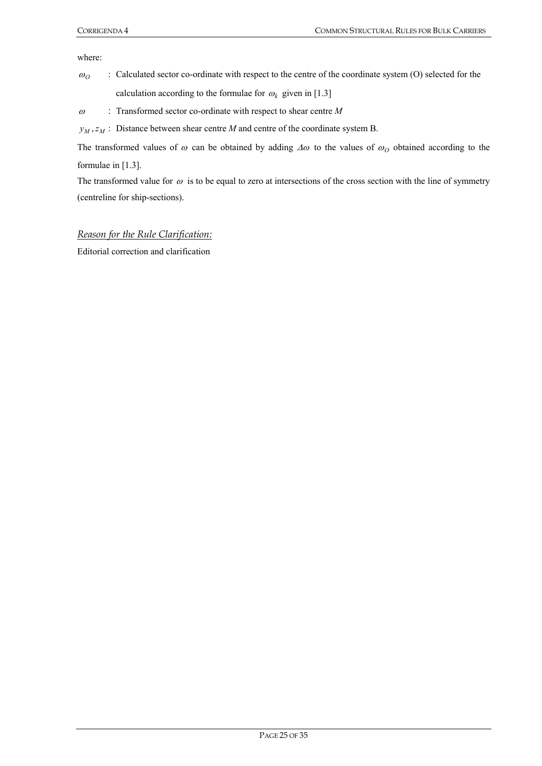where:

- $\omega$ <sup>o</sup>: Calculated sector co-ordinate with respect to the centre of the coordinate system (O) selected for the calculation according to the formulae for  $\omega_k$  given in [1.3]
- <sup>ω</sup> : Transformed sector co-ordinate with respect to shear centre *M*
- $y_M$ ,  $z_M$ : Distance between shear centre *M* and centre of the coordinate system B.

The transformed values of  $\omega$  can be obtained by adding  $\Delta\omega$  to the values of  $\omega$ <sub>O</sub> obtained according to the formulae in [1.3].

The transformed value for  $\omega$  is to be equal to zero at intersections of the cross section with the line of symmetry (centreline for ship-sections).

#### *Reason for the Rule Clarification:*

Editorial correction and clarification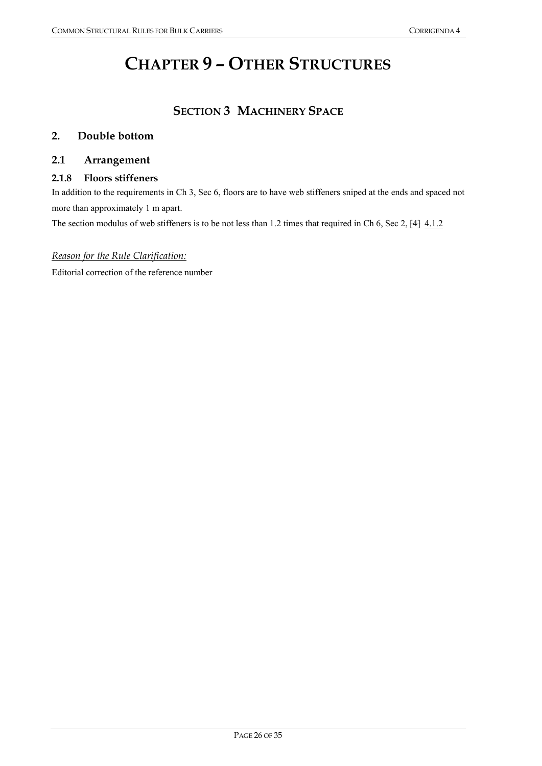## **CHAPTER 9 – OTHER STRUCTURES**

## **SECTION 3 MACHINERY SPACE**

## **2. Double bottom**

## **2.1 Arrangement**

### **2.1.8 Floors stiffeners**

In addition to the requirements in Ch 3, Sec 6, floors are to have web stiffeners sniped at the ends and spaced not more than approximately 1 m apart.

The section modulus of web stiffeners is to be not less than 1.2 times that required in Ch 6, Sec 2,  $\frac{[4]}{[4]}\frac{4.1.2}{[4.1.2]}$ 

## *Reason for the Rule Clarification:*

Editorial correction of the reference number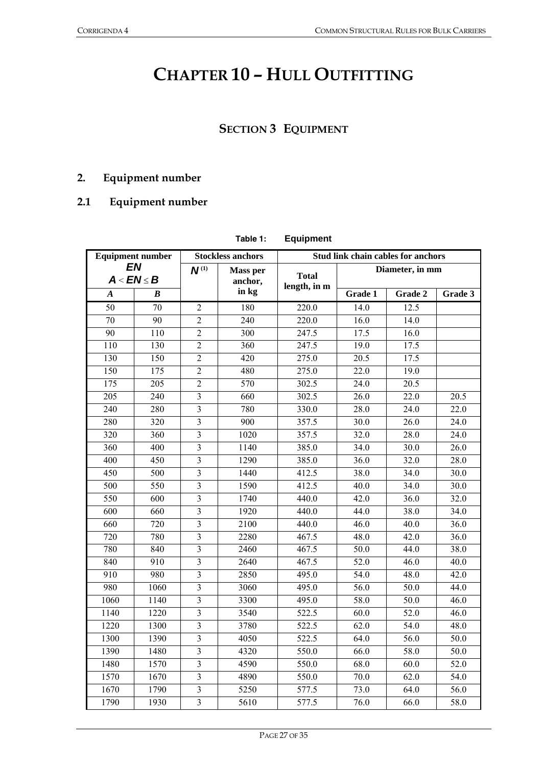## **CHAPTER 10 – HULL OUTFITTING**

## **SECTION 3 EQUIPMENT**

## **2. Equipment number**

## **2.1 Equipment number**

|                  |                               |                         | Table 1:                   | <b>Equipment</b>                   |                   |                 |         |  |
|------------------|-------------------------------|-------------------------|----------------------------|------------------------------------|-------------------|-----------------|---------|--|
|                  | <b>Equipment number</b>       |                         | <b>Stockless anchors</b>   | Stud link chain cables for anchors |                   |                 |         |  |
|                  | <b>EN</b><br>$A < E N \leq B$ | $N^{(1)}$               | <b>Mass per</b><br>anchor, | <b>Total</b><br>length, in m       |                   | Diameter, in mm |         |  |
| $\boldsymbol{A}$ | B                             |                         | in kg                      |                                    | Grade 1           | Grade 2         | Grade 3 |  |
| 50               | 70                            | 2                       | 180                        | 220.0                              | 14.0              | 12.5            |         |  |
| 70               | 90                            | $\overline{2}$          | 240                        | 220.0                              | 16.0              | 14.0            |         |  |
| 90               | 110                           | $\overline{2}$          | 300                        | 247.5                              | 17.5              | 16.0            |         |  |
| 110              | 130                           | $\overline{2}$          | 360                        | 247.5                              | 19.0              | 17.5            |         |  |
| 130              | $\overline{150}$              | $\overline{2}$          | 420                        | 275.0                              | 20.5              | 17.5            |         |  |
| 150              | 175                           | $\overline{2}$          | 480                        | 275.0                              | 22.0              | 19.0            |         |  |
| 175              | 205                           | $\overline{2}$          | 570                        | 302.5                              | 24.0              | 20.5            |         |  |
| 205              | 240                           | 3                       | 660                        | 302.5                              | 26.0              | 22.0            | 20.5    |  |
| 240              | 280                           | 3                       | 780                        | 330.0                              | 28.0              | 24.0            | 22.0    |  |
| 280              | 320                           | $\overline{3}$          | 900                        | 357.5                              | 30.0              | 26.0            | 24.0    |  |
| 320              | 360                           | $\overline{3}$          | 1020                       | 357.5                              | 32.0              | 28.0            | 24.0    |  |
| 360              | 400                           | $\overline{3}$          | 1140                       | 385.0                              | 34.0              | 30.0            | 26.0    |  |
| 400              | 450                           | $\overline{3}$          | 1290                       | 385.0                              | 36.0              | 32.0            | 28.0    |  |
| 450              | 500                           | $\overline{3}$          | 1440                       | 412.5                              | 38.0              | 34.0            | 30.0    |  |
| 500              | 550                           | $\overline{3}$          | 1590                       | 412.5                              | 40.0              | 34.0            | 30.0    |  |
| $\overline{550}$ | 600                           | $\overline{3}$          | 1740                       | 440.0                              | 42.0              | 36.0            | 32.0    |  |
| $\overline{600}$ | 660                           | $\overline{3}$          | 1920                       | 440.0                              | 44.0              | 38.0            | 34.0    |  |
| 660              | 720                           | $\overline{3}$          | 2100                       | 440.0                              | 46.0              | 40.0            | 36.0    |  |
| 720              | 780                           | $\overline{3}$          | 2280                       | 467.5                              | 48.0              | 42.0            | 36.0    |  |
| 780              | 840                           | $\overline{\mathbf{3}}$ | 2460                       | 467.5                              | 50.0              | 44.0            | 38.0    |  |
| 840              | 910                           | $\overline{3}$          | 2640                       | 467.5                              | 52.0              | 46.0            | 40.0    |  |
| 910              | 980                           | $\overline{3}$          | 2850                       | 495.0                              | $\overline{54.0}$ | 48.0            | 42.0    |  |
| 980              | 1060                          | $\overline{3}$          | 3060                       | 495.0                              | $\frac{1}{56.0}$  | 50.0            | 44.0    |  |
| 1060             | 1140                          | $\overline{3}$          | 3300                       | 495.0                              | 58.0              | 50.0            | 46.0    |  |
| 1140             | 1220                          | $\overline{3}$          | 3540                       | 522.5                              | 60.0              | 52.0            | 46.0    |  |
| 1220             | 1300                          | $\overline{3}$          | 3780                       | 522.5                              | 62.0              | 54.0            | 48.0    |  |
| 1300             | 1390                          | $\overline{\mathbf{3}}$ | 4050                       | 522.5                              | 64.0              | 56.0            | 50.0    |  |
| 1390             | 1480                          | $\overline{3}$          | 4320                       | 550.0                              | 66.0              | 58.0            | 50.0    |  |
| 1480             | 1570                          | $\overline{3}$          | 4590                       | 550.0                              | 68.0              | 60.0            | 52.0    |  |
| 1570             | 1670                          | $\overline{\mathbf{3}}$ | 4890                       | 550.0                              | 70.0              | 62.0            | 54.0    |  |
| 1670             | 1790                          | $\overline{3}$          | 5250                       | 577.5                              | 73.0              | 64.0            | 56.0    |  |
| 1790             | 1930                          | $\overline{3}$          | 5610                       | 577.5                              | 76.0              | 66.0            | 58.0    |  |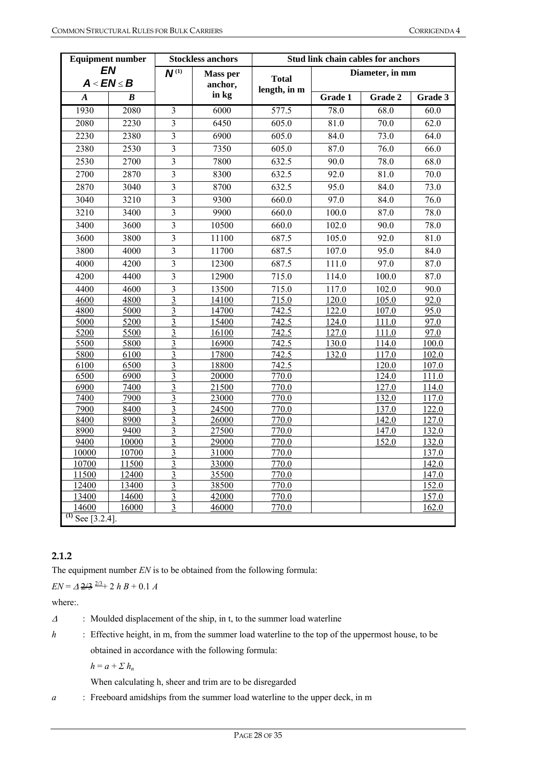|                       | <b>Equipment number</b>       |                         | <b>Stockless anchors</b>   | Stud link chain cables for anchors |                   |                     |                   |
|-----------------------|-------------------------------|-------------------------|----------------------------|------------------------------------|-------------------|---------------------|-------------------|
|                       | <b>EN</b><br>$A < E N \leq B$ | $N^{(1)}$               | <b>Mass per</b><br>anchor, | <b>Total</b>                       |                   | Diameter, in mm     |                   |
| $\boldsymbol{A}$      | $\boldsymbol{B}$              |                         | in kg                      | length, in m                       | Grade 1           | Grade 2             | Grade 3           |
| 1930                  | 2080                          | 3                       | 6000                       | 577.5                              | 78.0              | 68.0                | 60.0              |
| 2080                  | 2230                          | 3                       | 6450                       | 605.0                              | $\overline{81.0}$ | 70.0                | 62.0              |
| 2230                  | 2380                          | $\overline{3}$          | 6900                       | 605.0                              | 84.0              | 73.0                | 64.0              |
| 2380                  | 2530                          | $\overline{3}$          | 7350                       | 605.0                              | 87.0              | 76.0                | 66.0              |
|                       |                               |                         |                            |                                    |                   |                     |                   |
| 2530                  | 2700                          | $\overline{3}$          | 7800                       | 632.5                              | 90.0              | 78.0                | 68.0              |
| 2700                  | 2870                          | $\overline{3}$          | 8300                       | 632.5                              | 92.0              | 81.0                | $\overline{70.0}$ |
| 2870                  | 3040                          | $\overline{3}$          | 8700                       | 632.5                              | 95.0              | 84.0                | 73.0              |
| 3040                  | 3210                          | $\overline{3}$          | 9300                       | 660.0                              | 97.0              | 84.0                | $\overline{76.0}$ |
| 3210                  | 3400                          | $\overline{3}$          | 9900                       | 660.0                              | 100.0             | 87.0                | 78.0              |
| 3400                  | 3600                          | 3                       | 10500                      | 660.0                              | 102.0             | 90.0                | 78.0              |
| 3600                  | 3800                          | 3                       | 11100                      | 687.5                              | 105.0             | 92.0                | 81.0              |
| 3800                  | 4000                          | $\overline{3}$          | 11700                      | 687.5                              | 107.0             | 95.0                | 84.0              |
| 4000                  | 4200                          | $\overline{3}$          | 12300                      | 687.5                              | 111.0             | $\frac{97.0}{97.0}$ | 87.0              |
| 4200                  | 4400                          | $\overline{3}$          | 12900                      | 715.0                              | 114.0             | 100.0               | 87.0              |
| 4400                  | 4600                          | $\overline{\mathbf{3}}$ | 13500                      | 715.0                              | 117.0             | 102.0               | 90.0              |
| 4600                  | 4800                          | 3                       | 14100                      | 715.0                              | 120.0             | 105.0               | 92.0              |
| 4800                  | 5000                          | $\overline{3}$          | 14700                      | 742.5                              | 122.0             | 107.0               | 95.0              |
| 5000                  | 5200                          | 3                       | 15400                      | 742.5                              | 124.0             | 111.0               | 97.0              |
| 5200                  | 5500                          | 3                       | 16100                      | 742.5                              | 127.0             | 111.0               | 97.0              |
| 5500                  | 5800                          | $\mathfrak{Z}$          | 16900                      | 742.5                              | 130.0             | 114.0               | 100.0             |
| 5800                  | 6100                          | 3                       | 17800                      | $\frac{742.5}{7}$                  | 132.0             | 117.0               | 102.0             |
| 6100                  | 6500                          | 3                       | 18800                      | 742.5                              |                   | 120.0               | 107.0             |
| 6500                  | 6900                          | $\mathfrak{Z}$          | 20000                      | 770.0                              |                   | 124.0               | 111.0             |
| 6900                  | 7400                          | $\overline{3}$          | 21500                      | 770.0                              |                   | 127.0               | 114.0             |
| 7400                  | 7900                          | $\overline{3}$          | 23000                      | 770.0                              |                   | 132.0               | 117.0             |
| 7900                  | 8400                          | 3                       | 24500                      | 770.0                              |                   | 137.0               | 122.0             |
| 8400                  | 8900                          | $\overline{3}$          | 26000                      | 770.0                              |                   | 142.0               | 127.0             |
| 8900                  | 9400                          | $\overline{3}$          | 27500                      | 770.0                              |                   | 147.0               | 132.0             |
| 9400                  | 10000                         | $\overline{3}$          | 29000                      | 770.0                              |                   | 152.0               | 132.0             |
| 10000                 | 10700                         | $\overline{3}$          | 31000                      | 770.0                              |                   |                     | 137.0             |
| 10700                 | 11500                         | 3                       | 33000                      | 770.0                              |                   |                     | 142.0             |
| 11500                 | 12400                         | $\overline{3}$          | 35500                      | 770.0                              |                   |                     | 147.0             |
| 12400                 | 13400                         | 3                       | 38500                      | 770.0                              |                   |                     | 152.0             |
| 13400                 | 14600                         | $\overline{3}$          | 42000                      | 770.0                              |                   |                     | 157.0             |
| 14600                 | 16000                         | $\overline{3}$          | 46000                      | 770.0                              |                   |                     | 162.0             |
| $^{(1)}$ See [3.2.4]. |                               |                         |                            |                                    |                   |                     |                   |

## **2.1.2**

The equipment number *EN* is to be obtained from the following formula:

 $EN = \Delta \frac{2}{3} \frac{2}{3} + 2 h B + 0.1 A$ 

where:.

<sup>Δ</sup> : Moulded displacement of the ship, in t, to the summer load waterline

*h* : Effective height, in m, from the summer load waterline to the top of the uppermost house, to be obtained in accordance with the following formula:

 $h = a + \sum h_n$ 

When calculating h, sheer and trim are to be disregarded

*a* : Freeboard amidships from the summer load waterline to the upper deck, in m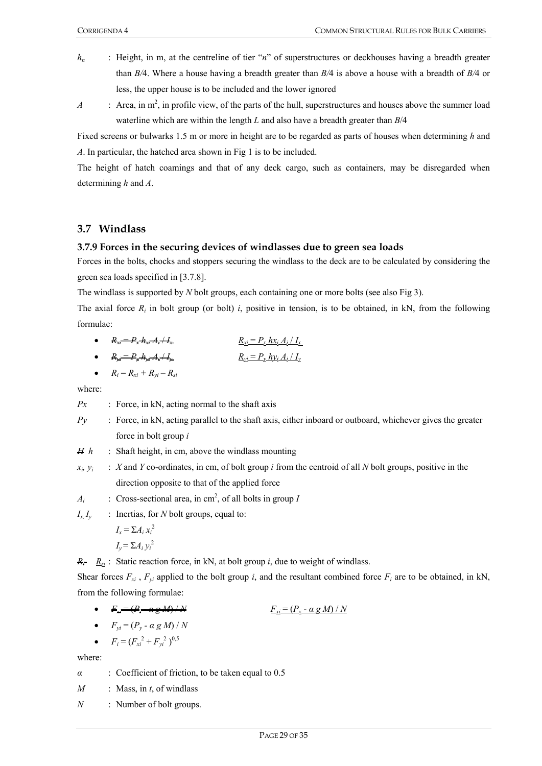- *h<sub>n</sub>* : Height, in m, at the centreline of tier "*n*" of superstructures or deckhouses having a breadth greater than *B/*4. Where a house having a breadth greater than *B/*4 is above a house with a breadth of *B/*4 or less, the upper house is to be included and the lower ignored
- *A* : Area, in  $m^2$ , in profile view, of the parts of the hull, superstructures and houses above the summer load waterline which are within the length *L* and also have a breadth greater than *B*/4

Fixed screens or bulwarks 1.5 m or more in height are to be regarded as parts of houses when determining *h* and *A*. In particular, the hatched area shown in Fig 1 is to be included.

The height of hatch coamings and that of any deck cargo, such as containers, may be disregarded when determining *h* and *A*.

## **3.7 Windlass**

### **3.7.9 Forces in the securing devices of windlasses due to green sea loads**

Forces in the bolts, chocks and stoppers securing the windlass to the deck are to be calculated by considering the green sea loads specified in [3.7.8].

The windlass is supported by *N* bolt groups, each containing one or more bolts (see also Fig 3).

The axial force  $R_i$  in bolt group (or bolt) *i*, positive in tension, is to be obtained, in kN, from the following formulae:

• 
$$
R_{xi} = P_x h_{xi} A_i + I_x
$$
  
 $R_{yi} = P_x h x_i A_i / I_x$ 

• 
$$
R_{yi} = P_y H_{yi} A_i + I_y
$$
  $\underline{R_{yi} = P_y h y_i A_i / I_y}$ 

$$
\bullet \qquad R_i = R_{xi} + R_{yi} - R_{si}
$$

where:

- *Px* : Force, in kN, acting normal to the shaft axis
- *Py* : Force, in kN, acting parallel to the shaft axis, either inboard or outboard, whichever gives the greater force in bolt group *i*
- *H h* : Shaft height, in cm, above the windlass mounting
- $x_i, y_i$  : *X* and *Y* co-ordinates, in cm, of bolt group *i* from the centroid of all *N* bolt groups, positive in the direction opposite to that of the applied force
- $A_i$  : Cross-sectional area, in cm<sup>2</sup>, of all bolts in group *I*
- *Ix, Iy* : Inertias, for *N* bolt groups, equal to:

$$
I_x = \sum A_i x_i^2
$$
  

$$
I_y = \sum A_i y_i^2
$$

 $R_i = R_{si}$ : Static reaction force, in kN, at bolt group *i*, due to weight of windlass.

Shear forces  $F_{xi}$ ,  $F_{yi}$  applied to the bolt group *i*, and the resultant combined force  $F_i$  are to be obtained, in kN, from the following formulae:

 $F_{xi} = (P_x - a g M) / N$   $F_{xi} = (P_x - a g M) / N$ 

• 
$$
F_{yi} = (P_y - \alpha g M) / N
$$

• 
$$
F_i = (F_{xi}^2 + F_{yi}^2)^{0.5}
$$

where:

*α* : Coefficient of friction, to be taken equal to 0.5

- *M* : Mass, in *t*, of windlass
- *N* : Number of bolt groups.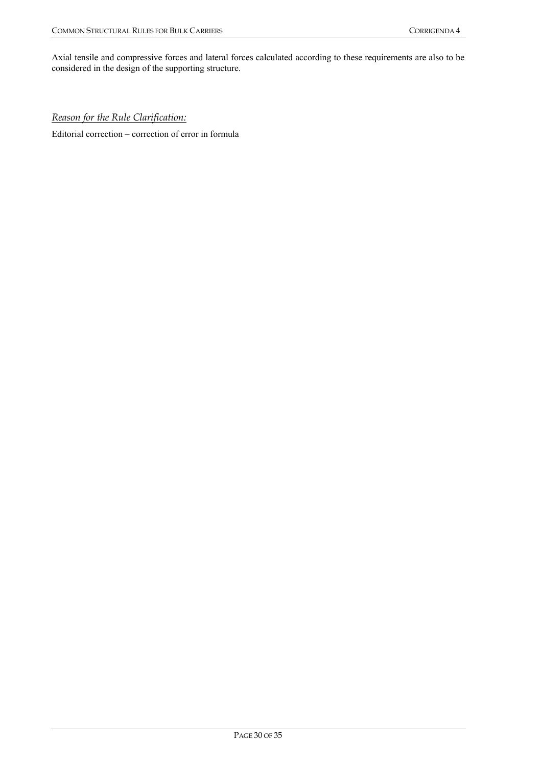Axial tensile and compressive forces and lateral forces calculated according to these requirements are also to be considered in the design of the supporting structure.

## *Reason for the Rule Clarification:*

Editorial correction – correction of error in formula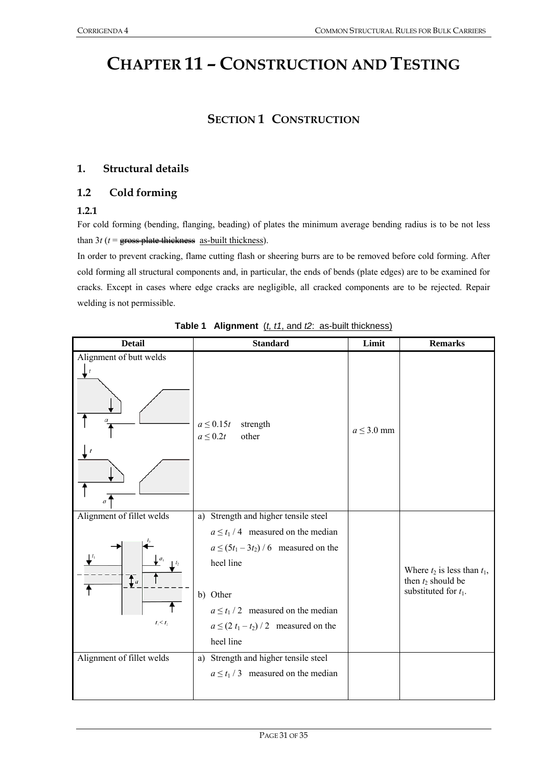## **CHAPTER 11 – CONSTRUCTION AND TESTING**

## **SECTION 1 CONSTRUCTION**

## **1. Structural details**

## **1.2 Cold forming**

### **1.2.1**

For cold forming (bending, flanging, beading) of plates the minimum average bending radius is to be not less than  $3t$  ( $t =$  gross plate thickness as-built thickness).

In order to prevent cracking, flame cutting flash or sheering burrs are to be removed before cold forming. After cold forming all structural components and, in particular, the ends of bends (plate edges) are to be examined for cracks. Except in cases where edge cracks are negligible, all cracked components are to be rejected. Repair welding is not permissible.

| <b>Detail</b>                                              | <b>Standard</b>                                                                                                                                                                                                                                           | Limit           | <b>Remarks</b>                                                                      |
|------------------------------------------------------------|-----------------------------------------------------------------------------------------------------------------------------------------------------------------------------------------------------------------------------------------------------------|-----------------|-------------------------------------------------------------------------------------|
| Alignment of butt welds                                    | $a \leq 0.15t$<br>strength<br>$a \leq 0.2t$<br>other                                                                                                                                                                                                      | $a \leq 3.0$ mm |                                                                                     |
| Alignment of fillet welds<br>$\mathbf{f}_a$<br>$t_1 < t_2$ | Strength and higher tensile steel<br>a)<br>$a \le t_1/4$ measured on the median<br>$a \le (5t_1 - 3t_2) / 6$ measured on the<br>heel line<br>b) Other<br>$a \le t_1 / 2$ measured on the median<br>$a \le (2 t_1 - t_2) / 2$ measured on the<br>heel line |                 | Where $t_2$ is less than $t_1$ ,<br>then $t_2$ should be<br>substituted for $t_1$ . |
| Alignment of fillet welds                                  | Strength and higher tensile steel<br>a)<br>$a \le t_1 / 3$ measured on the median                                                                                                                                                                         |                 |                                                                                     |

**Table 1 Alignment** (*t, t1*, and *t2*: as-built thickness)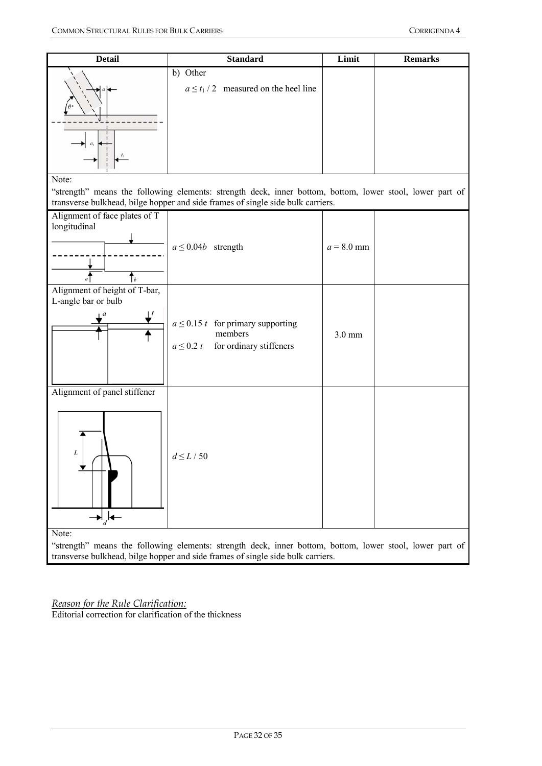| <b>Detail</b>                                                                                                                                                                               | <b>Standard</b>                                                                                                                                                                             | Limit        | <b>Remarks</b> |  |  |
|---------------------------------------------------------------------------------------------------------------------------------------------------------------------------------------------|---------------------------------------------------------------------------------------------------------------------------------------------------------------------------------------------|--------------|----------------|--|--|
|                                                                                                                                                                                             | b) Other<br>$a \le t_1 / 2$ measured on the heel line                                                                                                                                       |              |                |  |  |
| Note:                                                                                                                                                                                       | "strength" means the following elements: strength deck, inner bottom, bottom, lower stool, lower part of<br>transverse bulkhead, bilge hopper and side frames of single side bulk carriers. |              |                |  |  |
| Alignment of face plates of T<br>longitudinal<br>Ť,                                                                                                                                         | $a \leq 0.04b$ strength                                                                                                                                                                     | $a = 8.0$ mm |                |  |  |
| Alignment of height of T-bar,<br>L-angle bar or bulb                                                                                                                                        | $a \leq 0.15$ t for primary supporting<br>members<br>for ordinary stiffeners<br>$a \leq 0.2 t$                                                                                              | $3.0$ mm     |                |  |  |
| Alignment of panel stiffener<br>$\rightarrow \downarrow \downarrow \leftarrow$<br>Note:                                                                                                     | $d\!\leq\!L$ / 50                                                                                                                                                                           |              |                |  |  |
| "strength" means the following elements: strength deck, inner bottom, bottom, lower stool, lower part of<br>transverse bulkhead, bilge hopper and side frames of single side bulk carriers. |                                                                                                                                                                                             |              |                |  |  |

*Reason for the Rule Clarification:* Editorial correction for clarification of the thickness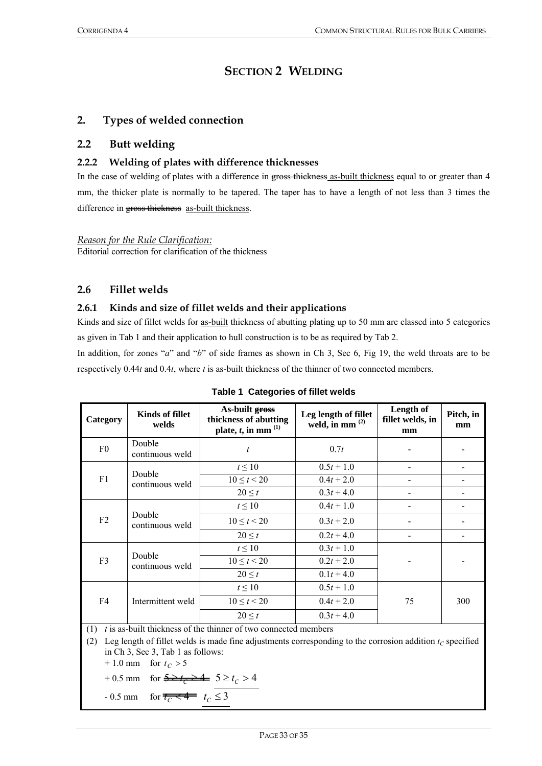## **SECTION 2 WELDING**

## **2. Types of welded connection**

## **2.2 Butt welding**

### **2.2.2 Welding of plates with difference thicknesses**

In the case of welding of plates with a difference in gross thickness as-built thickness equal to or greater than 4 mm, the thicker plate is normally to be tapered. The taper has to have a length of not less than 3 times the difference in gross thickness as-built thickness.

*Reason for the Rule Clarification:*

Editorial correction for clarification of the thickness

## **2.6 Fillet welds**

#### **2.6.1 Kinds and size of fillet welds and their applications**

Kinds and size of fillet welds for as-built thickness of abutting plating up to 50 mm are classed into 5 categories as given in Tab 1 and their application to hull construction is to be as required by Tab 2.

In addition, for zones "*a*" and "*b*" of side frames as shown in Ch 3, Sec 6, Fig 19, the weld throats are to be respectively 0.44*t* and 0.4*t*, where *t* is as-built thickness of the thinner of two connected members.

| Category                                                                      | <b>Kinds of fillet</b><br>welds | As-built gross<br>thickness of abutting<br>plate, $t$ , in mm $^{(1)}$ | Leg length of fillet<br>weld, in mm $^{(2)}$ | Length of<br>fillet welds, in<br>mm | Pitch, in<br>mm |
|-------------------------------------------------------------------------------|---------------------------------|------------------------------------------------------------------------|----------------------------------------------|-------------------------------------|-----------------|
| F <sub>0</sub>                                                                | Double<br>continuous weld       | $\boldsymbol{t}$                                                       | 0.7t                                         |                                     |                 |
|                                                                               | Double                          | $t \leq 10$                                                            | $0.5t + 1.0$                                 |                                     |                 |
| F1                                                                            | continuous weld                 | $10 \le t < 20$                                                        | $0.4t + 2.0$                                 |                                     |                 |
|                                                                               |                                 | $20 \leq t$                                                            | $0.3t + 4.0$                                 |                                     |                 |
|                                                                               |                                 | $t \leq 10$                                                            | $0.4t + 1.0$                                 |                                     |                 |
| F2                                                                            | Double<br>continuous weld       | $10 \le t < 20$                                                        | $0.3t + 2.0$                                 |                                     |                 |
|                                                                               |                                 | $20 \leq t$                                                            | $0.2t + 4.0$                                 |                                     |                 |
|                                                                               |                                 | $t \leq 10$                                                            | $0.3t + 1.0$                                 |                                     |                 |
| F3                                                                            | Double<br>continuous weld       | $10 \le t < 20$                                                        | $0.2t + 2.0$                                 |                                     |                 |
|                                                                               |                                 | $20 \leq t$                                                            | $0.1t + 4.0$                                 |                                     |                 |
|                                                                               |                                 | $t \leq 10$                                                            | $0.5t + 1.0$                                 |                                     |                 |
| F4                                                                            | Intermittent weld               | $10 \le t < 20$                                                        | $0.4t + 2.0$                                 | 75                                  | 300             |
|                                                                               |                                 | $20 \leq t$                                                            | $0.3t + 4.0$                                 |                                     |                 |
| <i>t</i> is as-built thickness of the thinner of two connected members<br>(1) |                                 |                                                                        |                                              |                                     |                 |

|  |  | Table 1 Categories of fillet welds |
|--|--|------------------------------------|
|--|--|------------------------------------|

(2) Leg length of fillet welds is made fine adjustments corresponding to the corrosion addition  $t_c$  specified in Ch 3, Sec 3, Tab 1 as follows:

 $+ 1.0$  mm for  $t_C > 5$ 

+ 0.5 mm for  $5 \ge t_c > 4$  5  $\ge t_c > 4$ 

$$
-0.5 \text{ mm} \quad \text{for } \overline{t_C} \leq 3
$$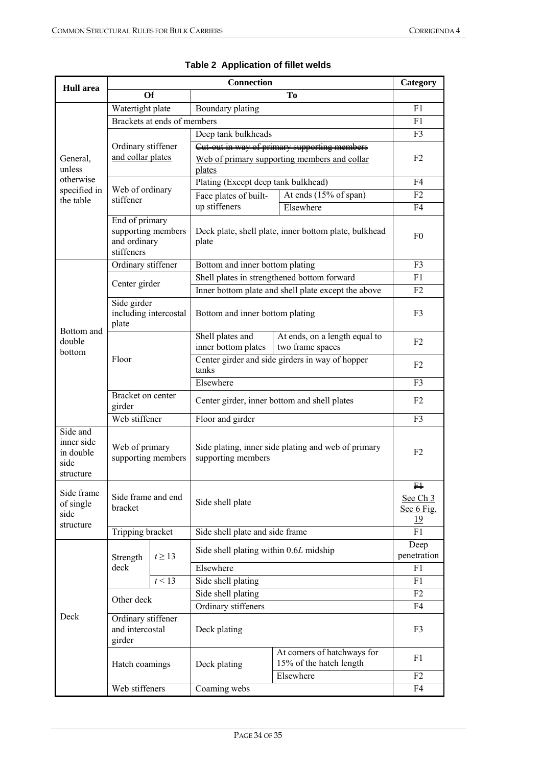| <b>Hull</b> area                                         | <b>Connection</b>                                                  |             |                                                                           |                                                        | Category                                    |  |
|----------------------------------------------------------|--------------------------------------------------------------------|-------------|---------------------------------------------------------------------------|--------------------------------------------------------|---------------------------------------------|--|
|                                                          | <b>Of</b><br>To                                                    |             |                                                                           |                                                        |                                             |  |
|                                                          | Watertight plate                                                   |             | Boundary plating                                                          |                                                        |                                             |  |
|                                                          | Brackets at ends of members                                        |             |                                                                           |                                                        | F1                                          |  |
|                                                          |                                                                    |             | Deep tank bulkheads                                                       |                                                        | F3                                          |  |
|                                                          | Ordinary stiffener                                                 |             | Cut-out in way of primary supporting members                              |                                                        | F <sub>2</sub>                              |  |
| General,<br>unless<br>otherwise                          | and collar plates                                                  |             |                                                                           | Web of primary supporting members and collar           |                                             |  |
|                                                          |                                                                    |             | plates                                                                    |                                                        |                                             |  |
| specified in                                             | Web of ordinary                                                    |             | Plating (Except deep tank bulkhead)                                       |                                                        | F4                                          |  |
| the table                                                | stiffener                                                          |             | Face plates of built-<br>up stiffeners                                    | At ends $(15\% \text{ of span})$                       | F <sub>2</sub>                              |  |
|                                                          |                                                                    |             |                                                                           | Elsewhere                                              | F <sub>4</sub>                              |  |
|                                                          | End of primary<br>supporting members<br>and ordinary<br>stiffeners |             | Deck plate, shell plate, inner bottom plate, bulkhead<br>plate            |                                                        | F <sub>0</sub>                              |  |
|                                                          | Ordinary stiffener                                                 |             | Bottom and inner bottom plating                                           |                                                        | F3                                          |  |
|                                                          | Center girder                                                      |             |                                                                           | Shell plates in strengthened bottom forward            | F1                                          |  |
|                                                          |                                                                    |             |                                                                           | Inner bottom plate and shell plate except the above    | F2                                          |  |
| Bottom and<br>double<br>bottom                           | Side girder<br>including intercostal<br>plate                      |             | Bottom and inner bottom plating                                           |                                                        | F3                                          |  |
|                                                          | Floor                                                              |             | Shell plates and<br>inner bottom plates                                   | At ends, on a length equal to<br>two frame spaces      | F <sub>2</sub>                              |  |
|                                                          |                                                                    |             | Center girder and side girders in way of hopper<br>tanks                  |                                                        | F <sub>2</sub>                              |  |
|                                                          |                                                                    |             | Elsewhere                                                                 |                                                        | F <sub>3</sub>                              |  |
|                                                          | Bracket on center<br>girder                                        |             | Center girder, inner bottom and shell plates                              |                                                        | F <sub>2</sub>                              |  |
|                                                          | Web stiffener                                                      |             | Floor and girder                                                          |                                                        | F3                                          |  |
| Side and<br>inner side<br>in double<br>side<br>structure | Web of primary<br>supporting members                               |             | Side plating, inner side plating and web of primary<br>supporting members |                                                        | F <sub>2</sub>                              |  |
| Side frame<br>of single<br>side                          | Side frame and end<br>bracket                                      |             | Side shell plate                                                          |                                                        | $F+$<br>See Ch 3<br>Sec 6 Fig.<br><u>19</u> |  |
| structure                                                | Tripping bracket                                                   |             | Side shell plate and side frame                                           |                                                        | F1                                          |  |
|                                                          | Strength                                                           | $t \geq 13$ | Side shell plating within 0.6L midship                                    |                                                        | Deep<br>penetration                         |  |
|                                                          | deck                                                               |             | Elsewhere                                                                 |                                                        | F1                                          |  |
|                                                          |                                                                    | t<13        | Side shell plating                                                        |                                                        | F1                                          |  |
|                                                          |                                                                    |             | Side shell plating                                                        |                                                        | F2                                          |  |
| Deck                                                     | Other deck                                                         |             | Ordinary stiffeners                                                       |                                                        | F4                                          |  |
|                                                          | Ordinary stiffener<br>and intercostal<br>girder                    |             | Deck plating                                                              |                                                        | F3                                          |  |
|                                                          | Hatch coamings                                                     |             | Deck plating                                                              | At corners of hatchways for<br>15% of the hatch length | F1                                          |  |
|                                                          |                                                                    |             |                                                                           | Elsewhere                                              | F <sub>2</sub>                              |  |
|                                                          | Web stiffeners                                                     |             | Coaming webs                                                              |                                                        | F4                                          |  |

|  | Table 2 Application of fillet welds |  |
|--|-------------------------------------|--|
|--|-------------------------------------|--|